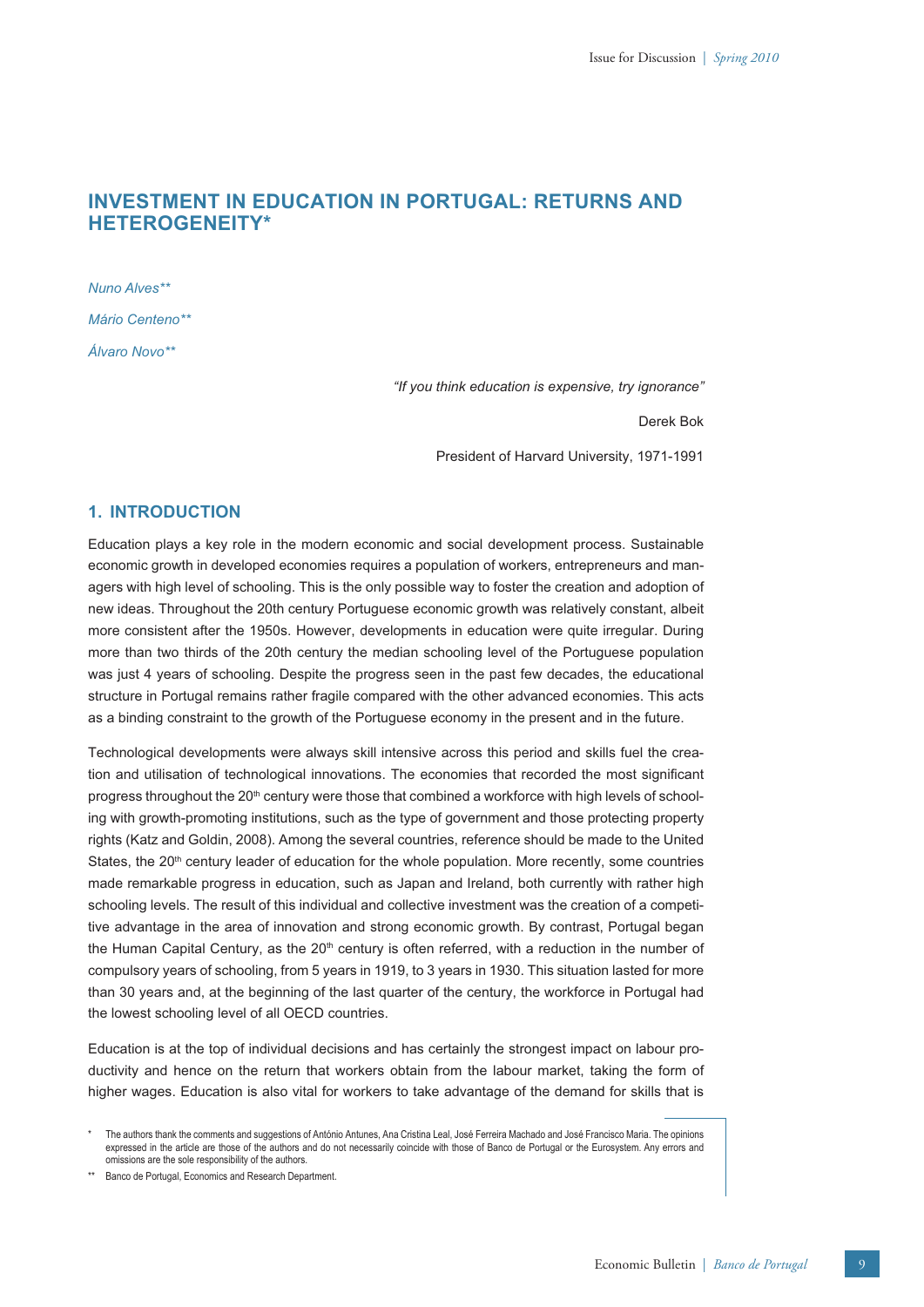# **INVESTMENT IN EDUCATION IN PORTUGAL: RETURNS AND HETEROGENEITY\***

*Nuno Alves\*\* Mário Centeno\*\* Álvaro Novo\*\**

*"If you think education is expensive, try ignorance"*

Derek Bok

President of Harvard University, 1971-1991

# **1. INTRODUCTION**

Education plays a key role in the modern economic and social development process. Sustainable economic growth in developed economies requires a population of workers, entrepreneurs and managers with high level of schooling. This is the only possible way to foster the creation and adoption of new ideas. Throughout the 20th century Portuguese economic growth was relatively constant, albeit more consistent after the 1950s. However, developments in education were quite irregular. During more than two thirds of the 20th century the median schooling level of the Portuguese population was just 4 years of schooling. Despite the progress seen in the past few decades, the educational structure in Portugal remains rather fragile compared with the other advanced economies. This acts as a binding constraint to the growth of the Portuguese economy in the present and in the future.

Technological developments were always skill intensive across this period and skills fuel the creation and utilisation of technological innovations. The economies that recorded the most significant progress throughout the 20<sup>th</sup> century were those that combined a workforce with high levels of schooling with growth-promoting institutions, such as the type of government and those protecting property rights (Katz and Goldin, 2008). Among the several countries, reference should be made to the United States, the  $20<sup>th</sup>$  century leader of education for the whole population. More recently, some countries made remarkable progress in education, such as Japan and Ireland, both currently with rather high schooling levels. The result of this individual and collective investment was the creation of a competitive advantage in the area of innovation and strong economic growth. By contrast, Portugal began the Human Capital Century, as the  $20<sup>th</sup>$  century is often referred, with a reduction in the number of compulsory years of schooling, from 5 years in 1919, to 3 years in 1930. This situation lasted for more than 30 years and, at the beginning of the last quarter of the century, the workforce in Portugal had the lowest schooling level of all OECD countries.

Education is at the top of individual decisions and has certainly the strongest impact on labour productivity and hence on the return that workers obtain from the labour market, taking the form of higher wages. Education is also vital for workers to take advantage of the demand for skills that is

\*\* Banco de Portugal, Economics and Research Department.

<sup>\*</sup> The authors thank the comments and suggestions of António Antunes, Ana Cristina Leal, José Ferreira Machado and José Francisco Maria. The opinions expressed in the article are those of the authors and do not necessarily coincide with those of Banco de Portugal or the Eurosystem. Any errors and omissions are the sole responsibility of the authors.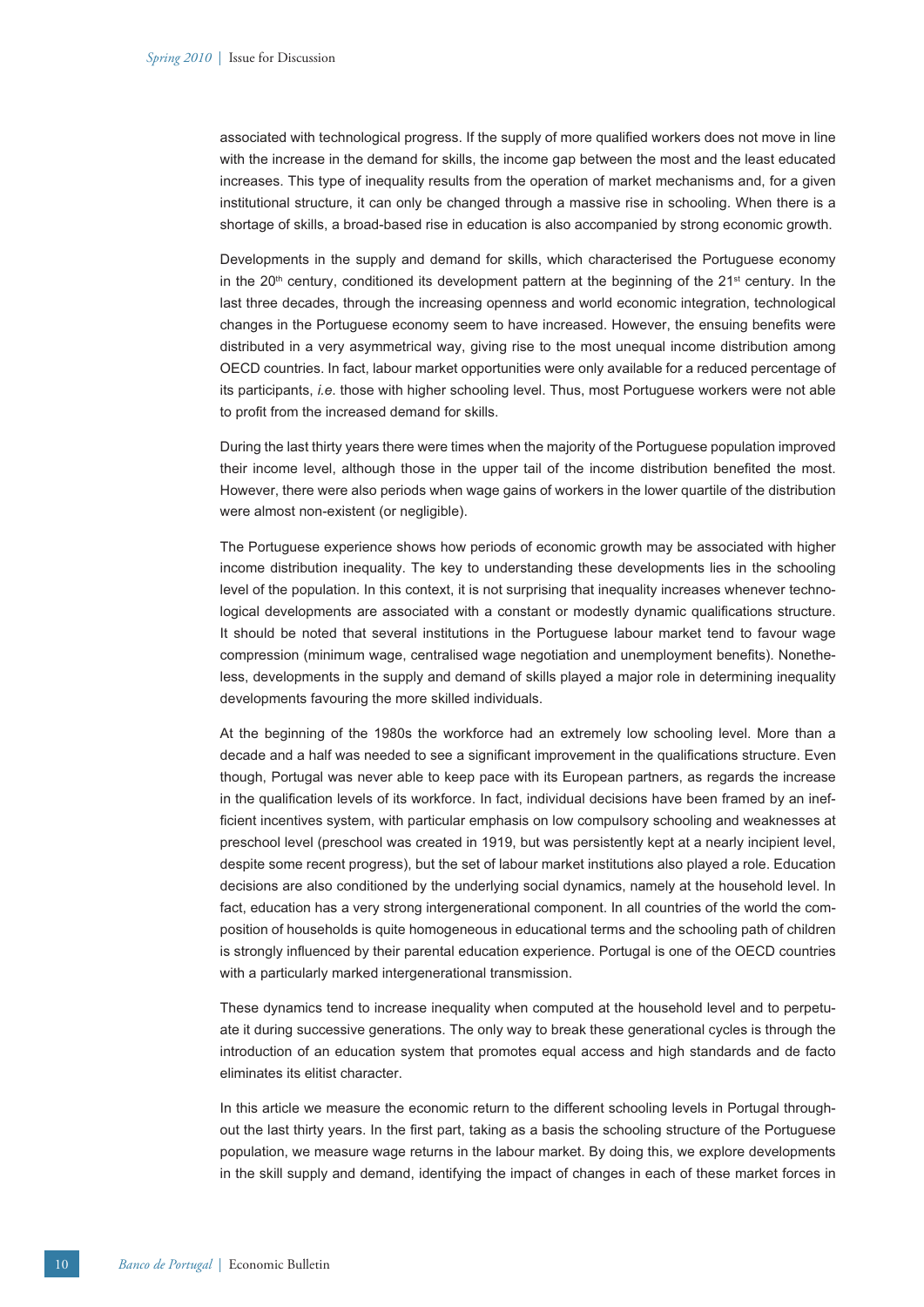associated with technological progress. If the supply of more qualified workers does not move in line with the increase in the demand for skills, the income gap between the most and the least educated increases. This type of inequality results from the operation of market mechanisms and, for a given institutional structure, it can only be changed through a massive rise in schooling. When there is a shortage of skills, a broad-based rise in education is also accompanied by strong economic growth.

Developments in the supply and demand for skills, which characterised the Portuguese economy in the  $20<sup>th</sup>$  century, conditioned its development pattern at the beginning of the  $21<sup>st</sup>$  century. In the last three decades, through the increasing openness and world economic integration, technological changes in the Portuguese economy seem to have increased. However, the ensuing benefits were distributed in a very asymmetrical way, giving rise to the most unequal income distribution among OECD countries. In fact, labour market opportunities were only available for a reduced percentage of its participants, *i.e*. those with higher schooling level. Thus, most Portuguese workers were not able to profit from the increased demand for skills.

During the last thirty years there were times when the majority of the Portuguese population improved their income level, although those in the upper tail of the income distribution benefited the most. However, there were also periods when wage gains of workers in the lower quartile of the distribution were almost non-existent (or negligible).

The Portuguese experience shows how periods of economic growth may be associated with higher income distribution inequality. The key to understanding these developments lies in the schooling level of the population. In this context, it is not surprising that inequality increases whenever technological developments are associated with a constant or modestly dynamic qualifications structure. It should be noted that several institutions in the Portuguese labour market tend to favour wage compression (minimum wage, centralised wage negotiation and unemployment benefits). Nonetheless, developments in the supply and demand of skills played a major role in determining inequality developments favouring the more skilled individuals.

At the beginning of the 1980s the workforce had an extremely low schooling level. More than a decade and a half was needed to see a significant improvement in the qualifications structure. Even though, Portugal was never able to keep pace with its European partners, as regards the increase in the qualification levels of its workforce. In fact, individual decisions have been framed by an inefficient incentives system, with particular emphasis on low compulsory schooling and weaknesses at preschool level (preschool was created in 1919, but was persistently kept at a nearly incipient level, despite some recent progress), but the set of labour market institutions also played a role. Education decisions are also conditioned by the underlying social dynamics, namely at the household level. In fact, education has a very strong intergenerational component. In all countries of the world the composition of households is quite homogeneous in educational terms and the schooling path of children is strongly influenced by their parental education experience. Portugal is one of the OECD countries with a particularly marked intergenerational transmission.

These dynamics tend to increase inequality when computed at the household level and to perpetuate it during successive generations. The only way to break these generational cycles is through the introduction of an education system that promotes equal access and high standards and de facto eliminates its elitist character.

In this article we measure the economic return to the different schooling levels in Portugal throughout the last thirty years. In the first part, taking as a basis the schooling structure of the Portuguese population, we measure wage returns in the labour market. By doing this, we explore developments in the skill supply and demand, identifying the impact of changes in each of these market forces in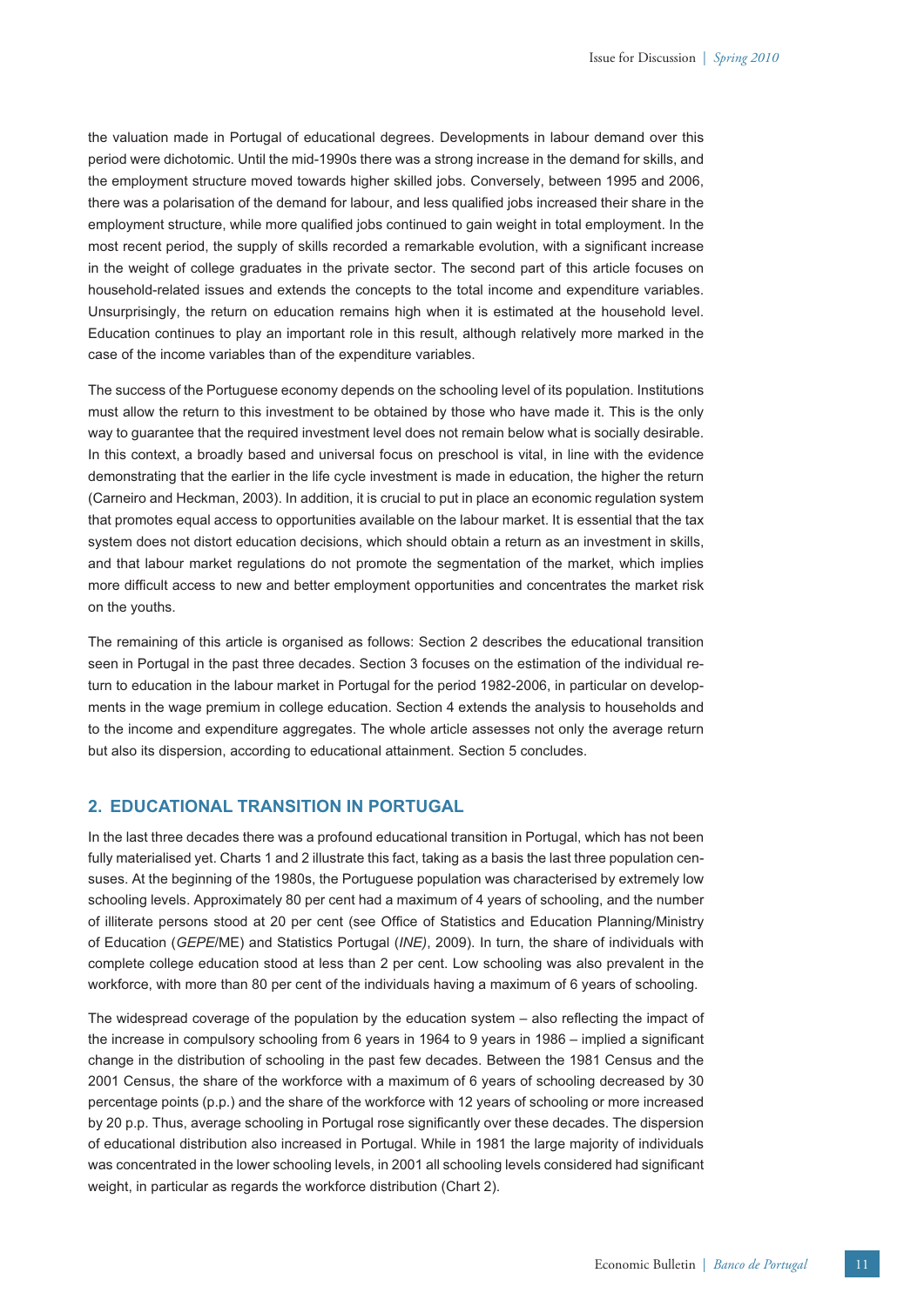the valuation made in Portugal of educational degrees. Developments in labour demand over this period were dichotomic. Until the mid-1990s there was a strong increase in the demand for skills, and the employment structure moved towards higher skilled jobs. Conversely, between 1995 and 2006, there was a polarisation of the demand for labour, and less qualified jobs increased their share in the employment structure, while more qualified jobs continued to gain weight in total employment. In the most recent period, the supply of skills recorded a remarkable evolution, with a significant increase in the weight of college graduates in the private sector. The second part of this article focuses on household-related issues and extends the concepts to the total income and expenditure variables. Unsurprisingly, the return on education remains high when it is estimated at the household level. Education continues to play an important role in this result, although relatively more marked in the case of the income variables than of the expenditure variables.

The success of the Portuguese economy depends on the schooling level of its population. Institutions must allow the return to this investment to be obtained by those who have made it. This is the only way to guarantee that the required investment level does not remain below what is socially desirable. In this context, a broadly based and universal focus on preschool is vital, in line with the evidence demonstrating that the earlier in the life cycle investment is made in education, the higher the return (Carneiro and Heckman, 2003). In addition, it is crucial to put in place an economic regulation system that promotes equal access to opportunities available on the labour market. It is essential that the tax system does not distort education decisions, which should obtain a return as an investment in skills, and that labour market regulations do not promote the segmentation of the market, which implies more difficult access to new and better employment opportunities and concentrates the market risk on the youths.

The remaining of this article is organised as follows: Section 2 describes the educational transition seen in Portugal in the past three decades. Section 3 focuses on the estimation of the individual return to education in the labour market in Portugal for the period 1982-2006, in particular on developments in the wage premium in college education. Section 4 extends the analysis to households and to the income and expenditure aggregates. The whole article assesses not only the average return but also its dispersion, according to educational attainment. Section 5 concludes.

# **2. EDUCATIONAL TRANSITION IN PORTUGAL**

In the last three decades there was a profound educational transition in Portugal, which has not been fully materialised yet. Charts 1 and 2 illustrate this fact, taking as a basis the last three population censuses. At the beginning of the 1980s, the Portuguese population was characterised by extremely low schooling levels. Approximately 80 per cent had a maximum of 4 years of schooling, and the number of illiterate persons stood at 20 per cent (see Office of Statistics and Education Planning/Ministry of Education (*GEPE*/ME) and Statistics Portugal (*INE)*, 2009). In turn, the share of individuals with complete college education stood at less than 2 per cent. Low schooling was also prevalent in the workforce, with more than 80 per cent of the individuals having a maximum of 6 years of schooling.

The widespread coverage of the population by the education system  $-$  also reflecting the impact of the increase in compulsory schooling from 6 years in 1964 to 9 years in 1986 – implied a significant change in the distribution of schooling in the past few decades. Between the 1981 Census and the 2001 Census, the share of the workforce with a maximum of 6 years of schooling decreased by 30 percentage points (p.p.) and the share of the workforce with 12 years of schooling or more increased by 20 p.p. Thus, average schooling in Portugal rose significantly over these decades. The dispersion of educational distribution also increased in Portugal. While in 1981 the large majority of individuals was concentrated in the lower schooling levels, in 2001 all schooling levels considered had significant weight, in particular as regards the workforce distribution (Chart 2).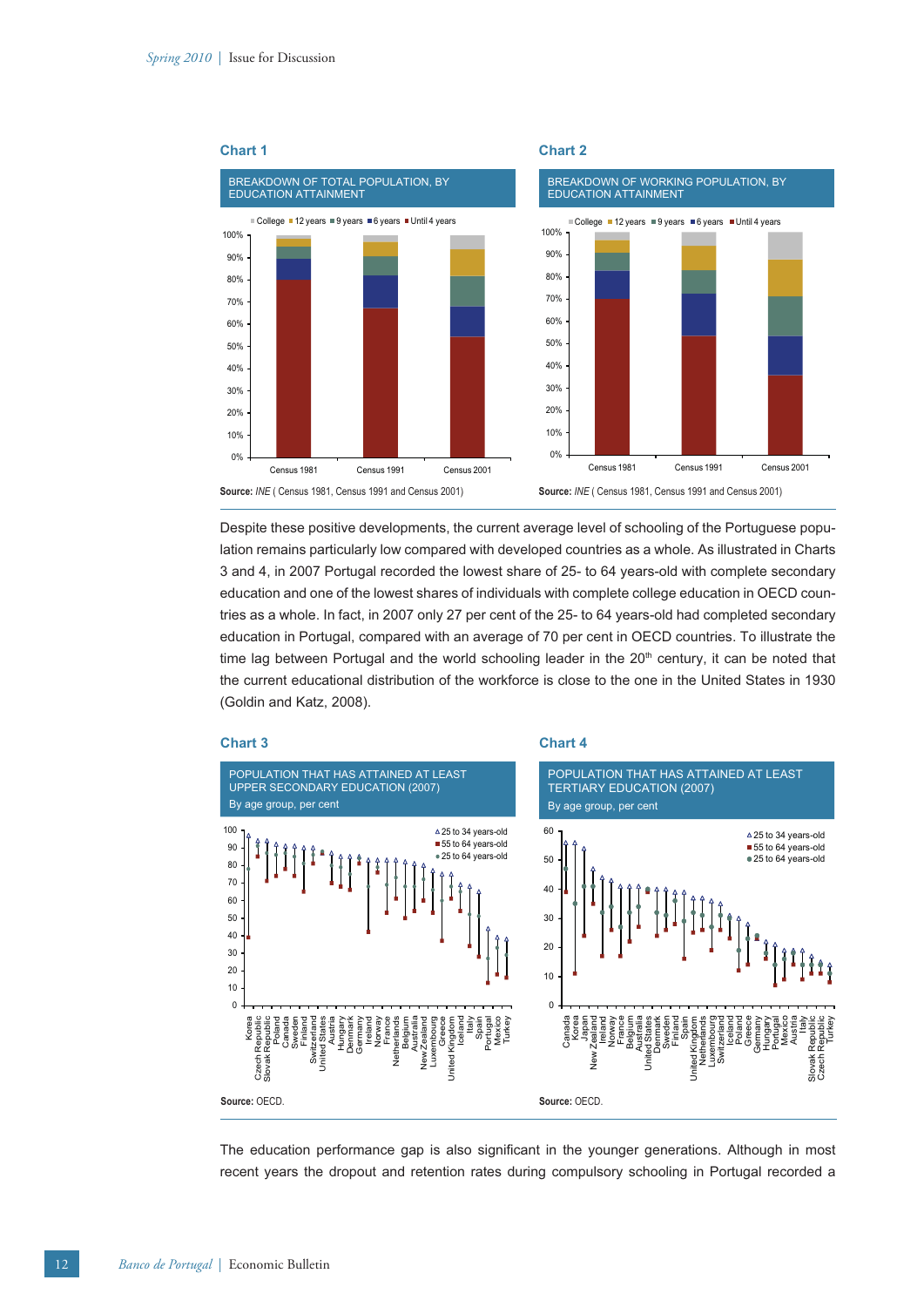

Despite these positive developments, the current average level of schooling of the Portuguese population remains particularly low compared with developed countries as a whole. As illustrated in Charts 3 and 4, in 2007 Portugal recorded the lowest share of 25- to 64 years-old with complete secondary education and one of the lowest shares of individuals with complete college education in OECD countries as a whole. In fact, in 2007 only 27 per cent of the 25- to 64 years-old had completed secondary education in Portugal, compared with an average of 70 per cent in OECD countries. To illustrate the time lag between Portugal and the world schooling leader in the  $20<sup>th</sup>$  century, it can be noted that the current educational distribution of the workforce is close to the one in the United States in 1930 (Goldin and Katz, 2008).







The education performance gap is also significant in the younger generations. Although in most recent years the dropout and retention rates during compulsory schooling in Portugal recorded a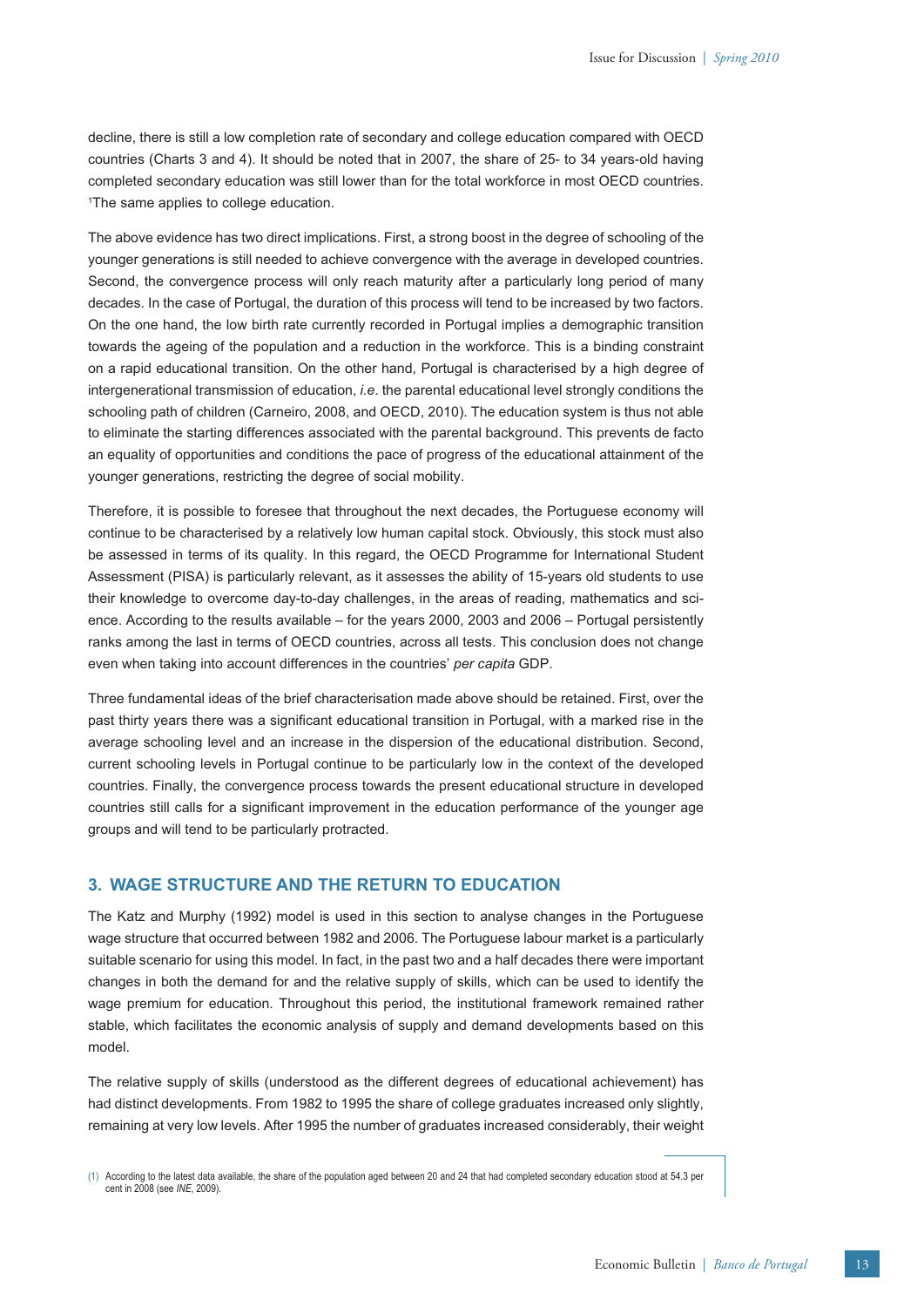decline, there is still a low completion rate of secondary and college education compared with OECD countries (Charts 3 and 4). It should be noted that in 2007, the share of 25- to 34 years-old having completed secondary education was still lower than for the total workforce in most OECD countries. 1 The same applies to college education.

The above evidence has two direct implications. First, a strong boost in the degree of schooling of the younger generations is still needed to achieve convergence with the average in developed countries. Second, the convergence process will only reach maturity after a particularly long period of many decades. In the case of Portugal, the duration of this process will tend to be increased by two factors. On the one hand, the low birth rate currently recorded in Portugal implies a demographic transition towards the ageing of the population and a reduction in the workforce. This is a binding constraint on a rapid educational transition. On the other hand, Portugal is characterised by a high degree of intergenerational transmission of education, *i.e*. the parental educational level strongly conditions the schooling path of children (Carneiro, 2008, and OECD, 2010). The education system is thus not able to eliminate the starting differences associated with the parental background. This prevents de facto an equality of opportunities and conditions the pace of progress of the educational attainment of the younger generations, restricting the degree of social mobility.

Therefore, it is possible to foresee that throughout the next decades, the Portuguese economy will continue to be characterised by a relatively low human capital stock. Obviously, this stock must also be assessed in terms of its quality. In this regard, the OECD Programme for International Student Assessment (PISA) is particularly relevant, as it assesses the ability of 15-years old students to use their knowledge to overcome day-to-day challenges, in the areas of reading, mathematics and science. According to the results available – for the years 2000, 2003 and 2006 – Portugal persistently ranks among the last in terms of OECD countries, across all tests. This conclusion does not change even when taking into account differences in the countries' *per capita* GDP.

Three fundamental ideas of the brief characterisation made above should be retained. First, over the past thirty years there was a significant educational transition in Portugal, with a marked rise in the average schooling level and an increase in the dispersion of the educational distribution. Second, current schooling levels in Portugal continue to be particularly low in the context of the developed countries. Finally, the convergence process towards the present educational structure in developed countries still calls for a significant improvement in the education performance of the younger age groups and will tend to be particularly protracted.

# **3. WAGE STRUCTURE AND THE RETURN TO EDUCATION**

The Katz and Murphy (1992) model is used in this section to analyse changes in the Portuguese wage structure that occurred between 1982 and 2006. The Portuguese labour market is a particularly suitable scenario for using this model. In fact, in the past two and a half decades there were important changes in both the demand for and the relative supply of skills, which can be used to identify the wage premium for education. Throughout this period, the institutional framework remained rather stable, which facilitates the economic analysis of supply and demand developments based on this model.

The relative supply of skills (understood as the different degrees of educational achievement) has had distinct developments. From 1982 to 1995 the share of college graduates increased only slightly, remaining at very low levels. After 1995 the number of graduates increased considerably, their weight

(1) According to the latest data available, the share of the population aged between 20 and 24 that had completed secondary education stood at 54.3 per cent in 2008 (see *INE*, 2009).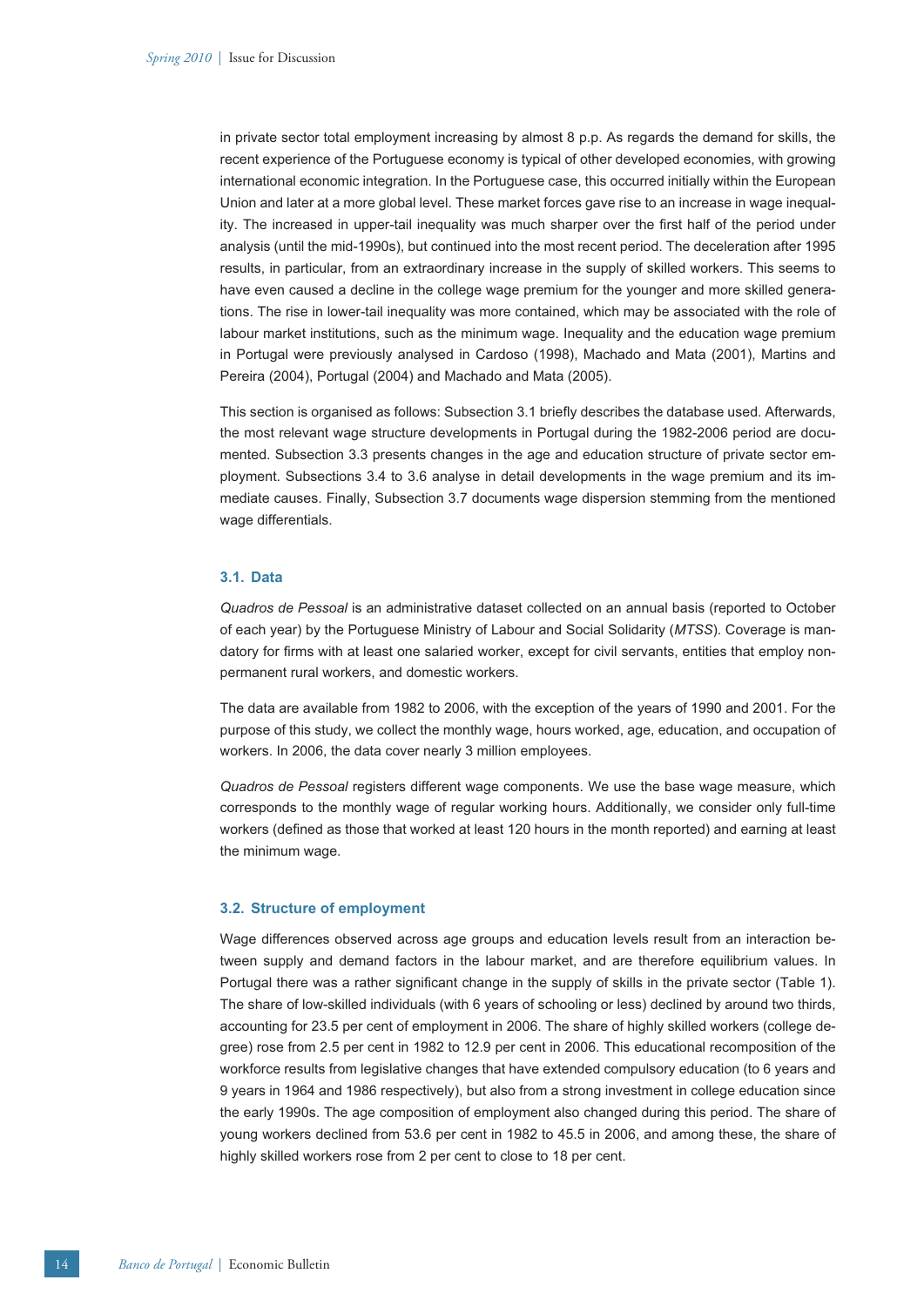in private sector total employment increasing by almost 8 p.p. As regards the demand for skills, the recent experience of the Portuguese economy is typical of other developed economies, with growing international economic integration. In the Portuguese case, this occurred initially within the European Union and later at a more global level. These market forces gave rise to an increase in wage inequality. The increased in upper-tail inequality was much sharper over the first half of the period under analysis (until the mid-1990s), but continued into the most recent period. The deceleration after 1995 results, in particular, from an extraordinary increase in the supply of skilled workers. This seems to have even caused a decline in the college wage premium for the younger and more skilled generations. The rise in lower-tail inequality was more contained, which may be associated with the role of labour market institutions, such as the minimum wage. Inequality and the education wage premium in Portugal were previously analysed in Cardoso (1998), Machado and Mata (2001), Martins and Pereira (2004), Portugal (2004) and Machado and Mata (2005).

This section is organised as follows: Subsection 3.1 briefly describes the database used. Afterwards, the most relevant wage structure developments in Portugal during the 1982-2006 period are documented. Subsection 3.3 presents changes in the age and education structure of private sector employment. Subsections 3.4 to 3.6 analyse in detail developments in the wage premium and its immediate causes. Finally, Subsection 3.7 documents wage dispersion stemming from the mentioned wage differentials.

# **3.1. Data**

*Quadros de Pessoal* is an administrative dataset collected on an annual basis (reported to October of each year) by the Portuguese Ministry of Labour and Social Solidarity (*MTSS*). Coverage is mandatory for firms with at least one salaried worker, except for civil servants, entities that employ nonpermanent rural workers, and domestic workers.

The data are available from 1982 to 2006, with the exception of the years of 1990 and 2001. For the purpose of this study, we collect the monthly wage, hours worked, age, education, and occupation of workers. In 2006, the data cover nearly 3 million employees.

*Quadros de Pessoal* registers different wage components. We use the base wage measure, which corresponds to the monthly wage of regular working hours. Additionally, we consider only full-time workers (defined as those that worked at least 120 hours in the month reported) and earning at least the minimum wage.

### **3.2. Structure of employment**

Wage differences observed across age groups and education levels result from an interaction between supply and demand factors in the labour market, and are therefore equilibrium values. In Portugal there was a rather significant change in the supply of skills in the private sector (Table 1). The share of low-skilled individuals (with 6 years of schooling or less) declined by around two thirds, accounting for 23.5 per cent of employment in 2006. The share of highly skilled workers (college degree) rose from 2.5 per cent in 1982 to 12.9 per cent in 2006. This educational recomposition of the workforce results from legislative changes that have extended compulsory education (to 6 years and 9 years in 1964 and 1986 respectively), but also from a strong investment in college education since the early 1990s. The age composition of employment also changed during this period. The share of young workers declined from 53.6 per cent in 1982 to 45.5 in 2006, and among these, the share of highly skilled workers rose from 2 per cent to close to 18 per cent.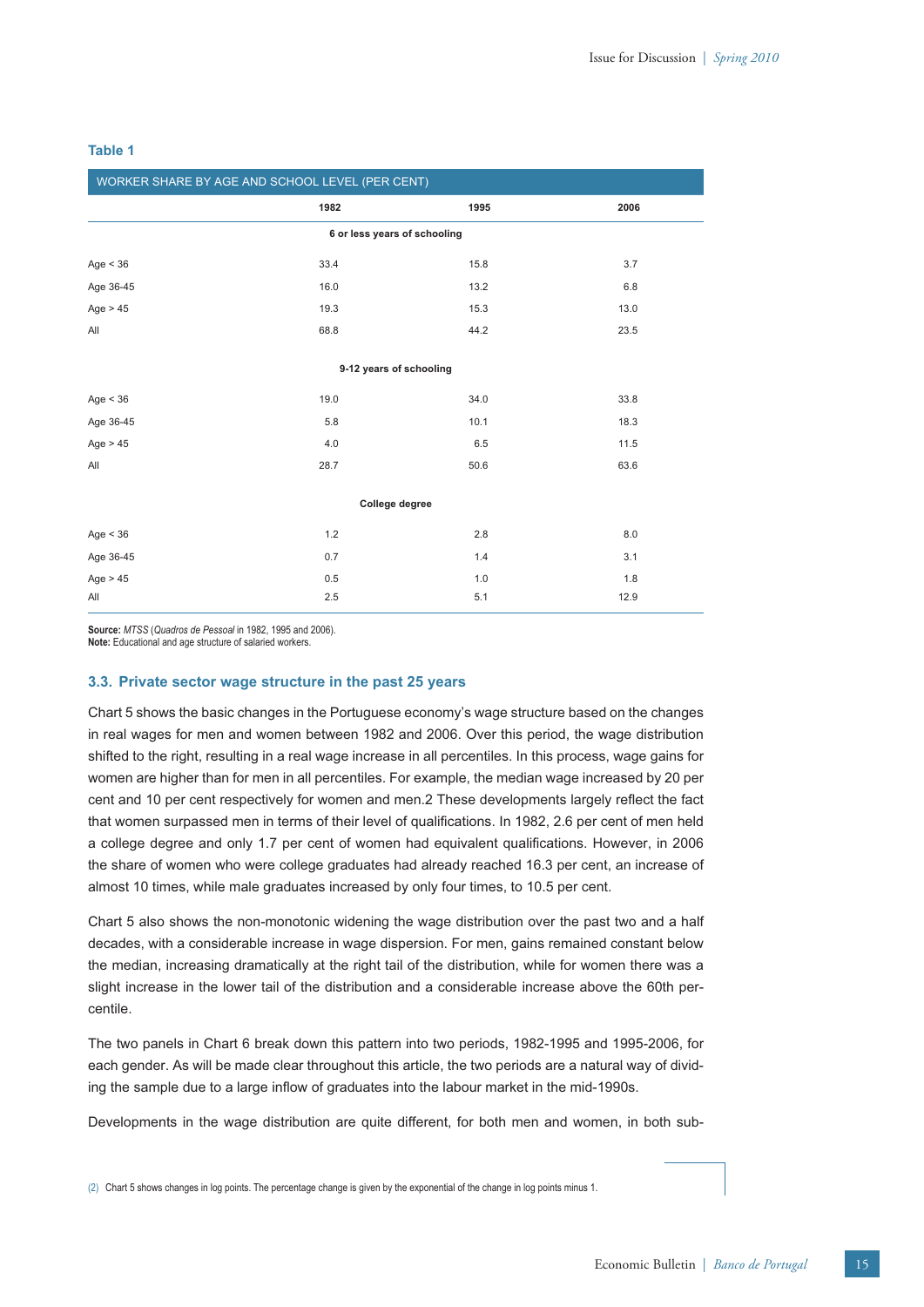| WORKER SHARE BY AGE AND SCHOOL LEVEL (PER CENT) |         |      |      |  |  |
|-------------------------------------------------|---------|------|------|--|--|
|                                                 | 1982    | 1995 | 2006 |  |  |
| 6 or less years of schooling                    |         |      |      |  |  |
| Age < 36                                        | 33.4    | 15.8 | 3.7  |  |  |
| Age 36-45                                       | 16.0    | 13.2 | 6.8  |  |  |
| Age $> 45$                                      | 19.3    | 15.3 | 13.0 |  |  |
| All                                             | 68.8    | 44.2 | 23.5 |  |  |
|                                                 |         |      |      |  |  |
| 9-12 years of schooling                         |         |      |      |  |  |
| Age $<$ 36                                      | 19.0    | 34.0 | 33.8 |  |  |
| Age 36-45                                       | 5.8     | 10.1 | 18.3 |  |  |
| Age $> 45$                                      | 4.0     | 6.5  | 11.5 |  |  |
| All                                             | 28.7    | 50.6 | 63.6 |  |  |
|                                                 |         |      |      |  |  |
| College degree                                  |         |      |      |  |  |
| Age $<$ 36                                      | 1.2     | 2.8  | 8.0  |  |  |
| Age 36-45                                       | 0.7     | 1.4  | 3.1  |  |  |
| Age $> 45$                                      | 0.5     | 1.0  | 1.8  |  |  |
| All                                             | $2.5\,$ | 5.1  | 12.9 |  |  |

# **Table 1**

**Source:** *MTSS* (*Quadros de Pessoal* in 1982, 1995 and 2006).

**Note:** Educational and age structure of salaried workers.

# **3.3. Private sector wage structure in the past 25 years**

Chart 5 shows the basic changes in the Portuguese economy's wage structure based on the changes in real wages for men and women between 1982 and 2006. Over this period, the wage distribution shifted to the right, resulting in a real wage increase in all percentiles. In this process, wage gains for women are higher than for men in all percentiles. For example, the median wage increased by 20 per cent and 10 per cent respectively for women and men.2 These developments largely reflect the fact that women surpassed men in terms of their level of qualifications. In 1982, 2.6 per cent of men held a college degree and only 1.7 per cent of women had equivalent qualifications. However, in 2006 the share of women who were college graduates had already reached 16.3 per cent, an increase of almost 10 times, while male graduates increased by only four times, to 10.5 per cent.

Chart 5 also shows the non-monotonic widening the wage distribution over the past two and a half decades, with a considerable increase in wage dispersion. For men, gains remained constant below the median, increasing dramatically at the right tail of the distribution, while for women there was a slight increase in the lower tail of the distribution and a considerable increase above the 60th percentile.

The two panels in Chart 6 break down this pattern into two periods, 1982-1995 and 1995-2006, for each gender. As will be made clear throughout this article, the two periods are a natural way of dividing the sample due to a large inflow of graduates into the labour market in the mid-1990s.

Developments in the wage distribution are quite different, for both men and women, in both sub-

(2) Chart 5 shows changes in log points. The percentage change is given by the exponential of the change in log points minus 1.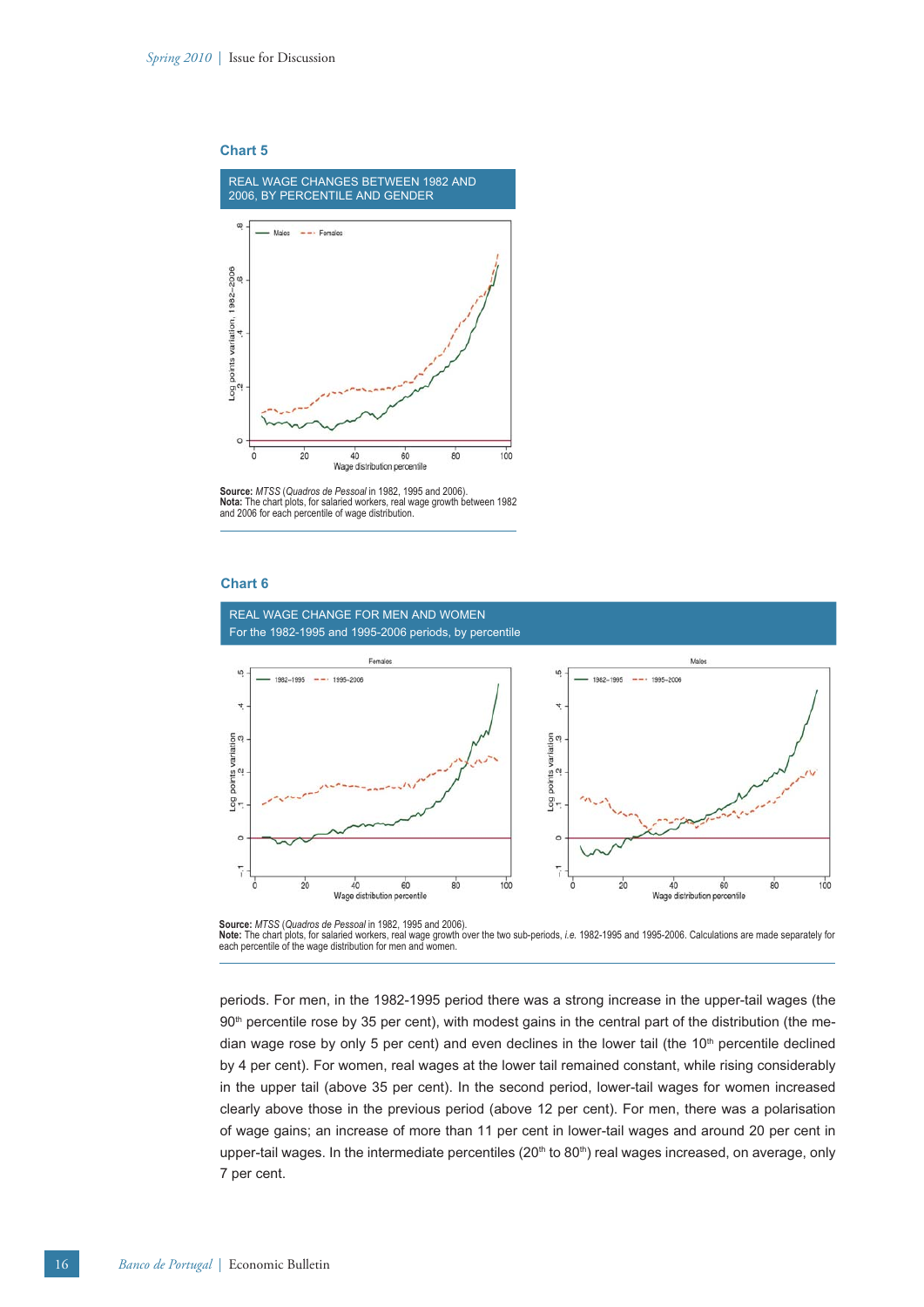



**Source:** *MTSS* (*Quadros de Pessoal* in 1982, 1995 and 2006). **Nota:** The chart plots, for salaried workers, real wage growth between 1982 and 2006 for each percentile of wage distribution.

# **Chart 6**



**Source:** *MTSS* (*Quadros de Pessoal* in 1982, 1995 and 2006).

Note: The chart plots, for salaried workers, real wage growth over the two sub-periods, *i.e.* 1982-1995 and 1995-2006. Calculations are made separately for<br>each percentile of the wage distribution for men and women.

periods. For men, in the 1982-1995 period there was a strong increase in the upper-tail wages (the 90<sup>th</sup> percentile rose by 35 per cent), with modest gains in the central part of the distribution (the median wage rose by only 5 per cent) and even declines in the lower tail (the  $10<sup>th</sup>$  percentile declined by 4 per cent). For women, real wages at the lower tail remained constant, while rising considerably in the upper tail (above 35 per cent). In the second period, lower-tail wages for women increased clearly above those in the previous period (above 12 per cent). For men, there was a polarisation of wage gains; an increase of more than 11 per cent in lower-tail wages and around 20 per cent in upper-tail wages. In the intermediate percentiles  $(20<sup>th</sup>$  to  $80<sup>th</sup>$ ) real wages increased, on average, only 7 per cent.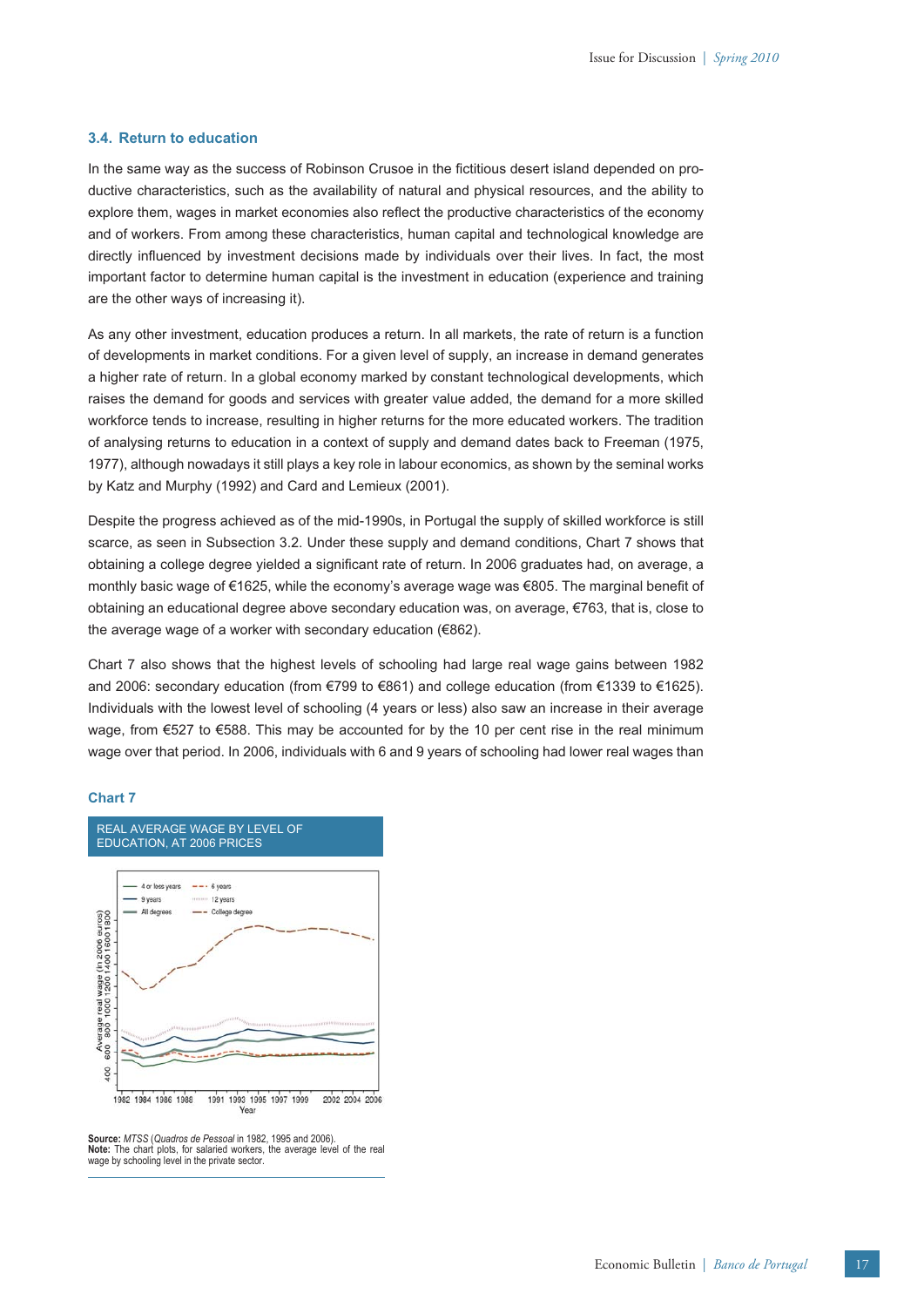#### **3.4. Return to education**

In the same way as the success of Robinson Crusoe in the fictitious desert island depended on productive characteristics, such as the availability of natural and physical resources, and the ability to explore them, wages in market economies also reflect the productive characteristics of the economy and of workers. From among these characteristics, human capital and technological knowledge are directly influenced by investment decisions made by individuals over their lives. In fact, the most important factor to determine human capital is the investment in education (experience and training are the other ways of increasing it).

As any other investment, education produces a return. In all markets, the rate of return is a function of developments in market conditions. For a given level of supply, an increase in demand generates a higher rate of return. In a global economy marked by constant technological developments, which raises the demand for goods and services with greater value added, the demand for a more skilled workforce tends to increase, resulting in higher returns for the more educated workers. The tradition of analysing returns to education in a context of supply and demand dates back to Freeman (1975, 1977), although nowadays it still plays a key role in labour economics, as shown by the seminal works by Katz and Murphy (1992) and Card and Lemieux (2001).

Despite the progress achieved as of the mid-1990s, in Portugal the supply of skilled workforce is still scarce, as seen in Subsection 3.2. Under these supply and demand conditions, Chart 7 shows that obtaining a college degree yielded a significant rate of return. In 2006 graduates had, on average, a monthly basic wage of €1625, while the economy's average wage was €805. The marginal benefit of obtaining an educational degree above secondary education was, on average, €763, that is, close to the average wage of a worker with secondary education (€862).

Chart 7 also shows that the highest levels of schooling had large real wage gains between 1982 and 2006: secondary education (from €799 to €861) and college education (from €1339 to €1625). Individuals with the lowest level of schooling (4 years or less) also saw an increase in their average wage, from €527 to €588. This may be accounted for by the 10 per cent rise in the real minimum wage over that period. In 2006, individuals with 6 and 9 years of schooling had lower real wages than

# **Chart 7**



**Source:** *MTSS* (*Quadros de Pessoal* in 1982, 1995 and 2006). **Note:** The chart plots, for salaried workers, the average level of the real wage by schooling level in the private sector.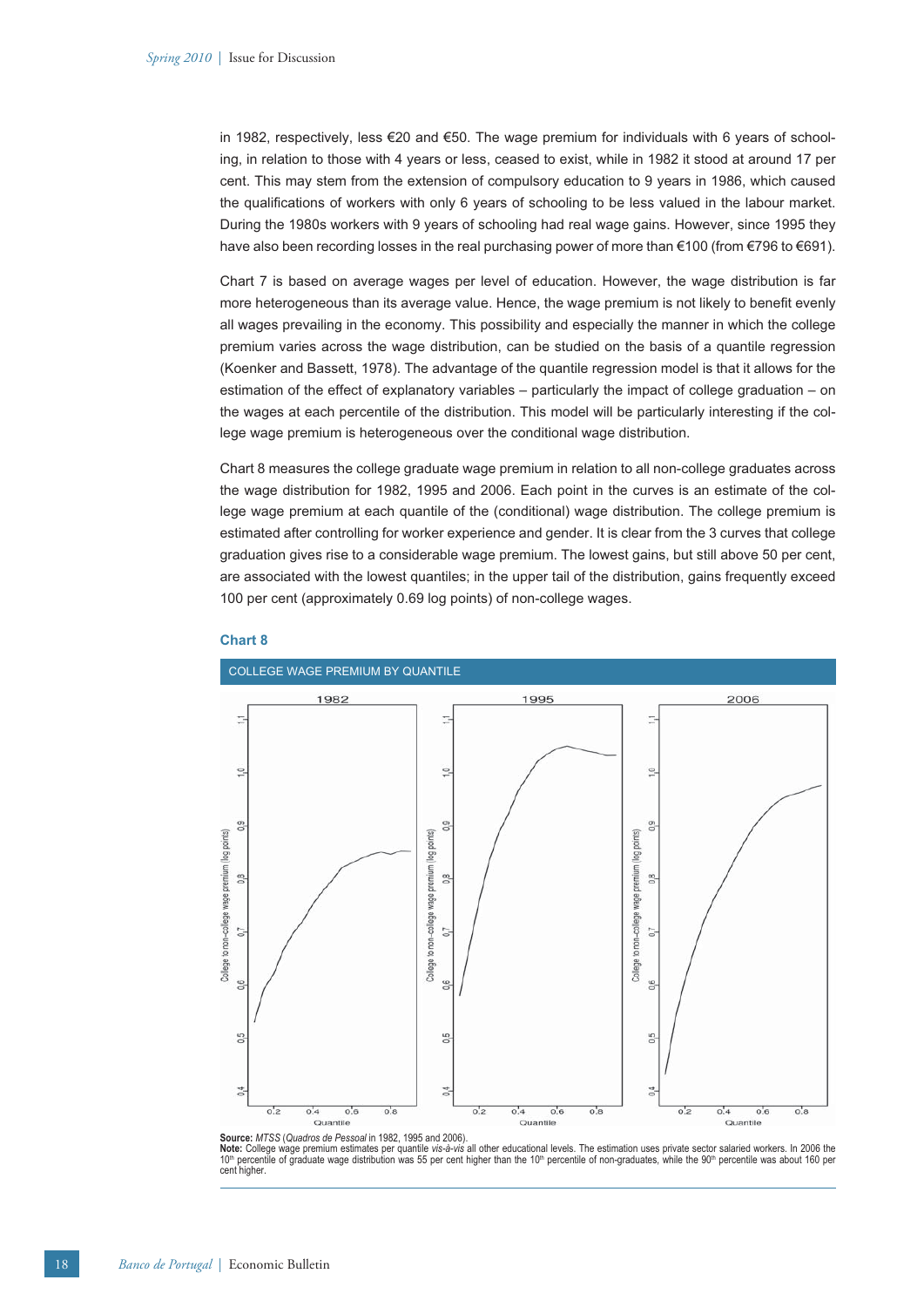in 1982, respectively, less €20 and €50. The wage premium for individuals with 6 years of schooling, in relation to those with 4 years or less, ceased to exist, while in 1982 it stood at around 17 per cent. This may stem from the extension of compulsory education to 9 years in 1986, which caused the qualifications of workers with only 6 years of schooling to be less valued in the labour market. During the 1980s workers with 9 years of schooling had real wage gains. However, since 1995 they have also been recording losses in the real purchasing power of more than €100 (from €796 to €691).

Chart 7 is based on average wages per level of education. However, the wage distribution is far more heterogeneous than its average value. Hence, the wage premium is not likely to benefit evenly all wages prevailing in the economy. This possibility and especially the manner in which the college premium varies across the wage distribution, can be studied on the basis of a quantile regression (Koenker and Bassett, 1978). The advantage of the quantile regression model is that it allows for the estimation of the effect of explanatory variables – particularly the impact of college graduation – on the wages at each percentile of the distribution. This model will be particularly interesting if the college wage premium is heterogeneous over the conditional wage distribution.

Chart 8 measures the college graduate wage premium in relation to all non-college graduates across the wage distribution for 1982, 1995 and 2006. Each point in the curves is an estimate of the college wage premium at each quantile of the (conditional) wage distribution. The college premium is estimated after controlling for worker experience and gender. It is clear from the 3 curves that college graduation gives rise to a considerable wage premium. The lowest gains, but still above 50 per cent, are associated with the lowest quantiles; in the upper tail of the distribution, gains frequently exceed 100 per cent (approximately 0.69 log points) of non-college wages.



# **Chart 8**

**Note:** College wage premium estimates per quantile *vis-à-vis* all other educational levels. The estimation uses private sector salaried workers. In 2006 the 10th percentile of graduate wage distribution was 55 per cent higher than the 10<sup>th</sup> percentile of non-graduates, while the 90<sup>th</sup> percentile was about 160 per cent higher.

**Source:** *MTSS* (*Quadros de Pessoal* in 1982, 1995 and 2006).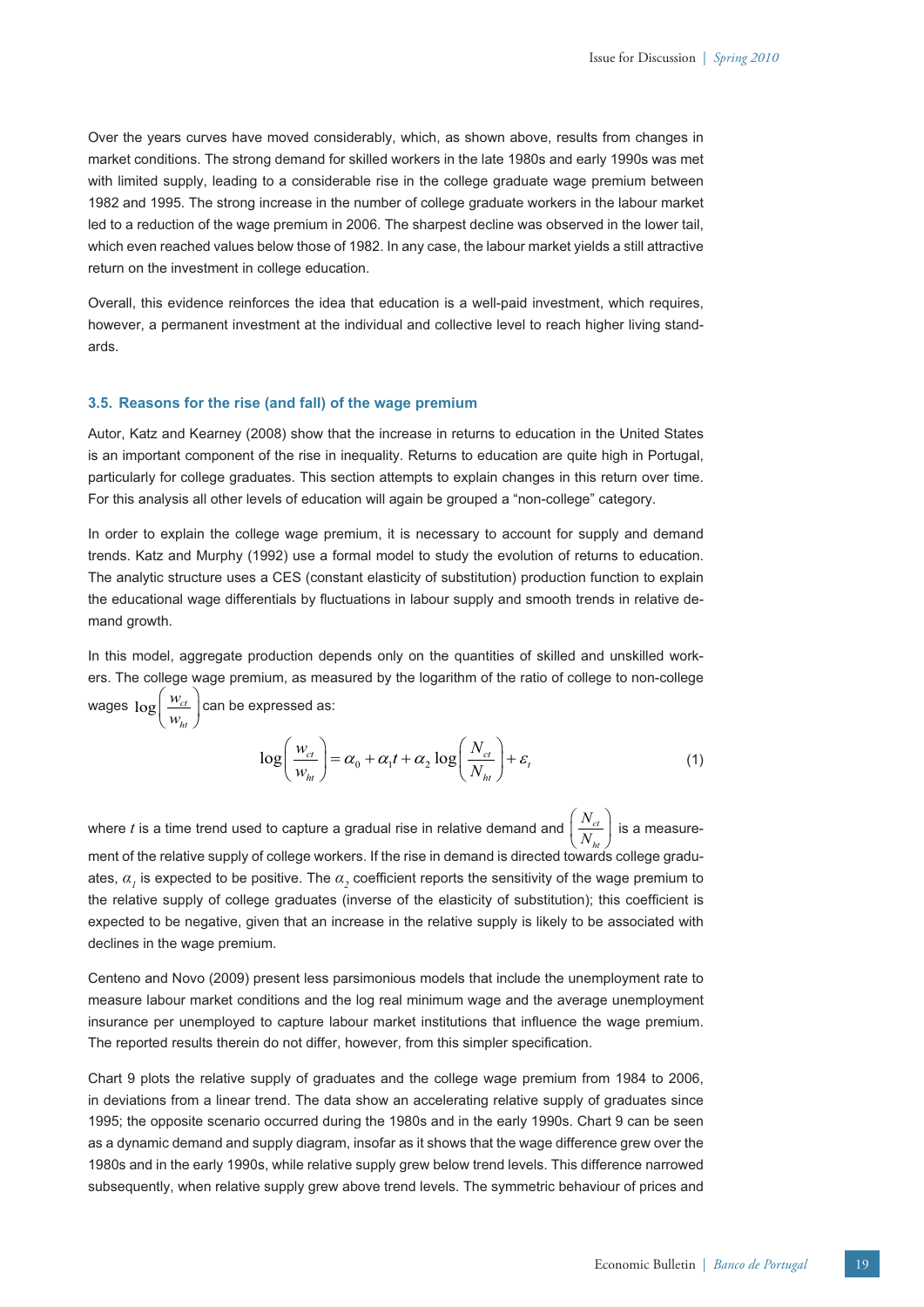Over the years curves have moved considerably, which, as shown above, results from changes in market conditions. The strong demand for skilled workers in the late 1980s and early 1990s was met with limited supply, leading to a considerable rise in the college graduate wage premium between 1982 and 1995. The strong increase in the number of college graduate workers in the labour market led to a reduction of the wage premium in 2006. The sharpest decline was observed in the lower tail, which even reached values below those of 1982. In any case, the labour market yields a still attractive return on the investment in college education.

Overall, this evidence reinforces the idea that education is a well-paid investment, which requires, however, a permanent investment at the individual and collective level to reach higher living standards.

# **3.5. Reasons for the rise (and fall) of the wage premium**

Autor, Katz and Kearney (2008) show that the increase in returns to education in the United States is an important component of the rise in inequality. Returns to education are quite high in Portugal, particularly for college graduates. This section attempts to explain changes in this return over time. For this analysis all other levels of education will again be grouped a "non-college" category.

In order to explain the college wage premium, it is necessary to account for supply and demand trends. Katz and Murphy (1992) use a formal model to study the evolution of returns to education. The analytic structure uses a CES (constant elasticity of substitution) production function to explain the educational wage differentials by fluctuations in labour supply and smooth trends in relative demand growth.

In this model, aggregate production depends only on the quantities of skilled and unskilled workers. The college wage premium, as measured by the logarithm of the ratio of college to non-college wages  $\log \biggl( \frac{w_{ct}}{w_{ht}}$ *w*  $\left(\frac{w_{ct}}{w_{ht}}\right)$ can be expressed as:

$$
\log\left(\frac{w_{ct}}{w_{ht}}\right) = \alpha_0 + \alpha_1 t + \alpha_2 \log\left(\frac{N_{ct}}{N_{ht}}\right) + \varepsilon_t
$$
\n(1)

where *t* is a time trend used to capture a gradual rise in relative demand and  $\left(\frac{N_{ci}}{N_{hi}}\right)$ *N*  $\left(\frac{N_{_{ct}}}{N_{_{ht}}}\right)$  is a measurement of the relative supply of college workers. If the rise in demand is directed towards college graduates,  $a_{j}$  is expected to be positive. The  $a_{j}$  coefficient reports the sensitivity of the wage premium to the relative supply of college graduates (inverse of the elasticity of substitution); this coefficient is expected to be negative, given that an increase in the relative supply is likely to be associated with declines in the wage premium.

Centeno and Novo (2009) present less parsimonious models that include the unemployment rate to measure labour market conditions and the log real minimum wage and the average unemployment insurance per unemployed to capture labour market institutions that influence the wage premium. The reported results therein do not differ, however, from this simpler specification.

Chart 9 plots the relative supply of graduates and the college wage premium from 1984 to 2006, in deviations from a linear trend. The data show an accelerating relative supply of graduates since 1995; the opposite scenario occurred during the 1980s and in the early 1990s. Chart 9 can be seen as a dynamic demand and supply diagram, insofar as it shows that the wage difference grew over the 1980s and in the early 1990s, while relative supply grew below trend levels. This difference narrowed subsequently, when relative supply grew above trend levels. The symmetric behaviour of prices and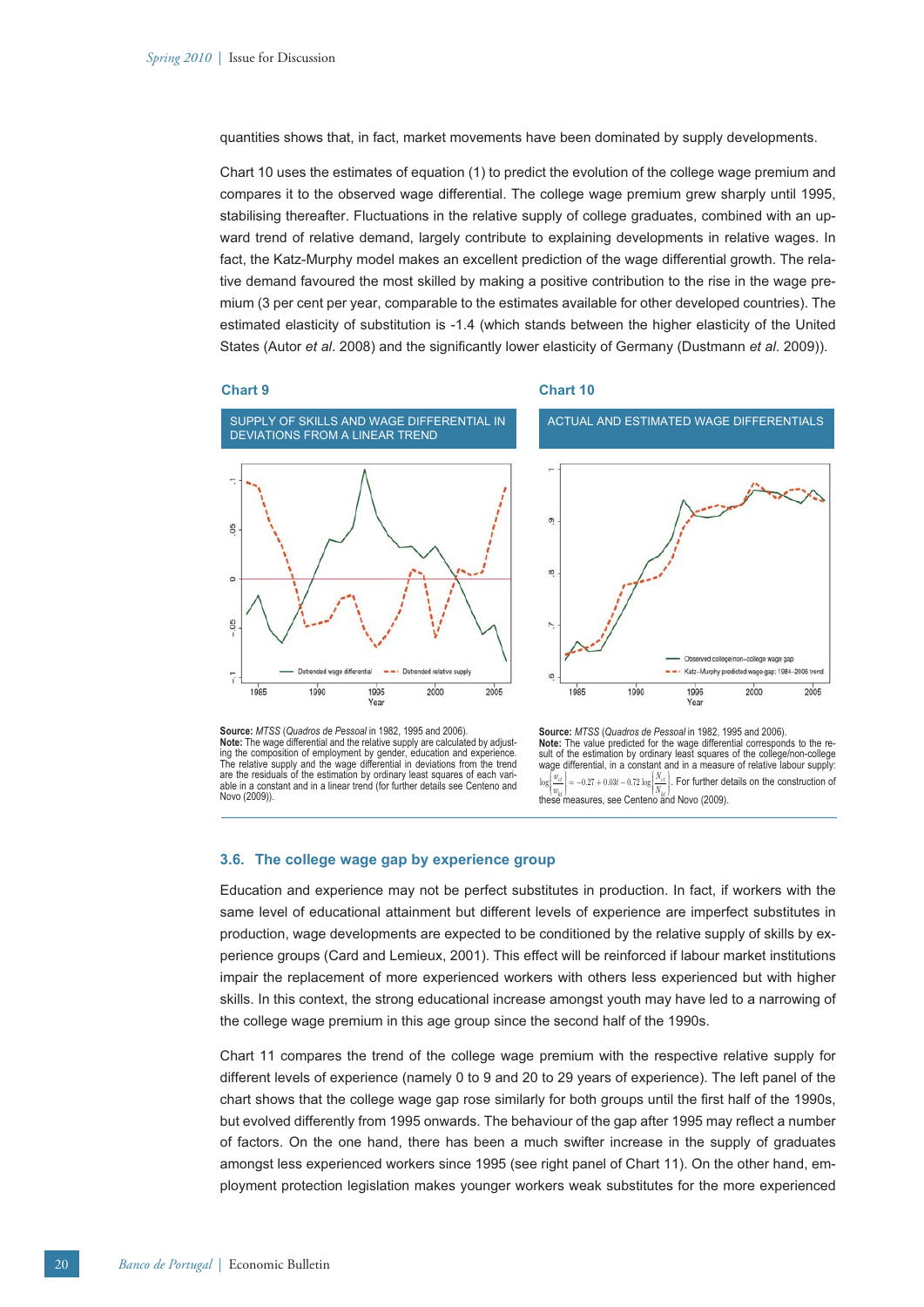quantities shows that, in fact, market movements have been dominated by supply developments.

Chart 10 uses the estimates of equation (1) to predict the evolution of the college wage premium and compares it to the observed wage differential. The college wage premium grew sharply until 1995, stabilising thereafter. Fluctuations in the relative supply of college graduates, combined with an upward trend of relative demand, largely contribute to explaining developments in relative wages. In fact, the Katz-Murphy model makes an excellent prediction of the wage differential growth. The relative demand favoured the most skilled by making a positive contribution to the rise in the wage premium (3 per cent per year, comparable to the estimates available for other developed countries). The estimated elasticity of substitution is -1.4 (which stands between the higher elasticity of the United States (Autor *et al.* 2008) and the significantly lower elasticity of Germany (Dustmann *et al.* 2009)).

#### **Chart 9**

#### **Chart 10**





**Source:** *MTSS* (*Quadros de Pessoal* in 1982, 1995 and 2006). **Note:** The wage differential and the relative supply are calculated by adjust-ing the composition of employment by gender, education and experience. The relative supply and the wage differential in deviations from the trend are the residuals of the estimation by ordinary least squares of each variable in a constant and in a linear trend (for further details see Centeno and Novo (2009)).

**Source:** *MTSS* (*Quadros de Pessoal* in 1982, 1995 and 2006). **Note:** The value predicted for the wage differential corresponds to the re-sult of the estimation by ordinary least squares of the college/non-college wage differential, in a constant and in a measure of relative labour supply:  $\log \left(\frac{w_{ct}}{w_{th}}\right) = -0.27 + 0.03t - 0.72 \log \left(\frac{N_{ct}}{N_{ht}}\right)$ . For further details on the construction of these measures, see Centeno and Novo (2009).

# **3.6. The college wage gap by experience group**

Education and experience may not be perfect substitutes in production. In fact, if workers with the same level of educational attainment but different levels of experience are imperfect substitutes in production, wage developments are expected to be conditioned by the relative supply of skills by experience groups (Card and Lemieux, 2001). This effect will be reinforced if labour market institutions impair the replacement of more experienced workers with others less experienced but with higher skills. In this context, the strong educational increase amongst youth may have led to a narrowing of the college wage premium in this age group since the second half of the 1990s.

Chart 11 compares the trend of the college wage premium with the respective relative supply for different levels of experience (namely 0 to 9 and 20 to 29 years of experience). The left panel of the chart shows that the college wage gap rose similarly for both groups until the first half of the 1990s, but evolved differently from 1995 onwards. The behaviour of the gap after 1995 may reflect a number of factors. On the one hand, there has been a much swifter increase in the supply of graduates amongst less experienced workers since 1995 (see right panel of Chart 11). On the other hand, employment protection legislation makes younger workers weak substitutes for the more experienced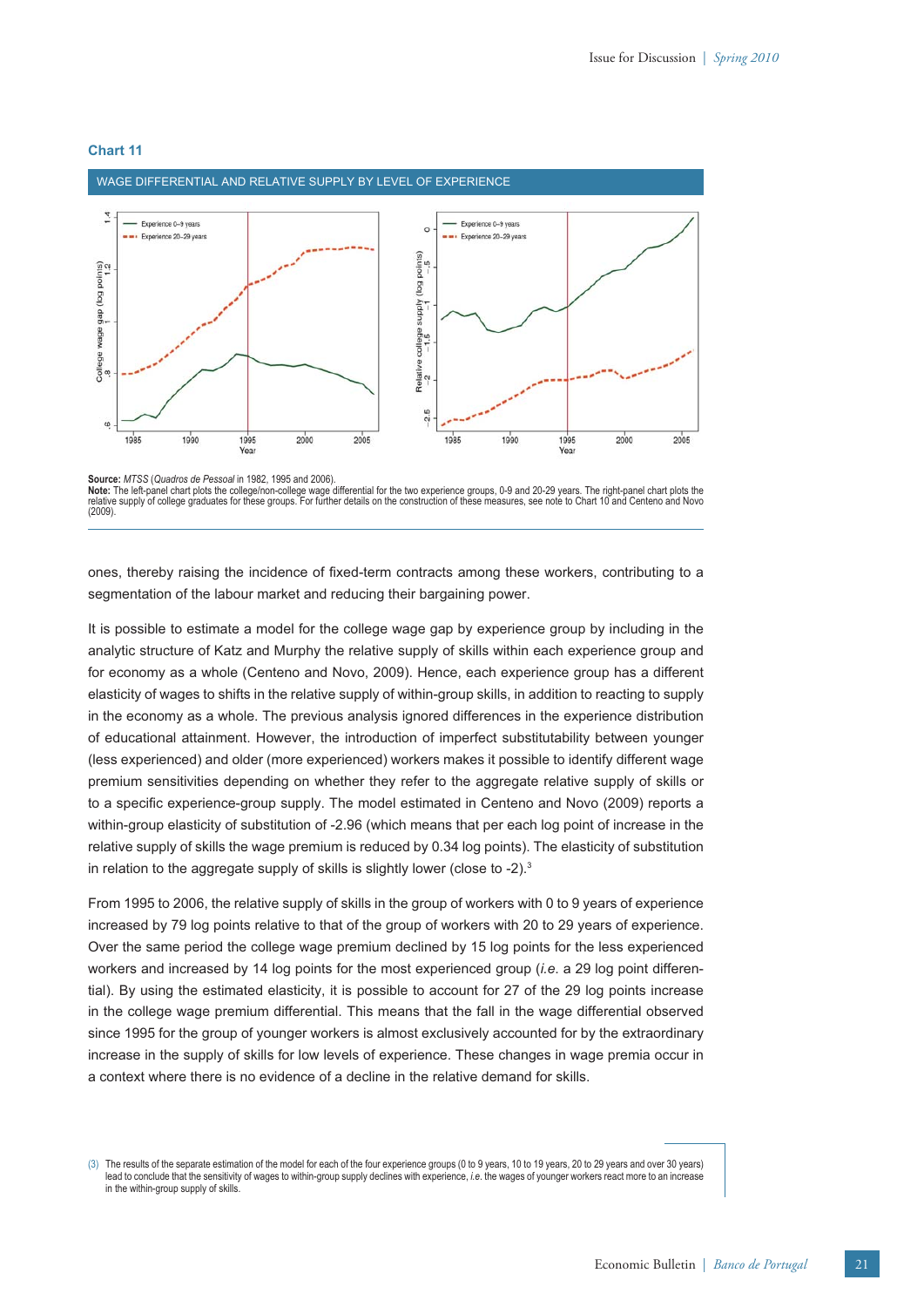

WAGE DIFFERENTIAL AND RELATIVE SUPPLY BY LEVEL OF EXPERIENCE

# **Chart 11**

**Source:** *MTSS* (*Quadros de Pessoal* in 1982, 1995 and 2006).

Note: The left-panel chart plots the college/non-college wage differential for the two experience groups, 0-9 and 20-29 years. The right-panel chart plots the<br>relative supply of college graduates for these groups. For furt (2009).

ones, thereby raising the incidence of fixed-term contracts among these workers, contributing to a segmentation of the labour market and reducing their bargaining power.

It is possible to estimate a model for the college wage gap by experience group by including in the analytic structure of Katz and Murphy the relative supply of skills within each experience group and for economy as a whole (Centeno and Novo, 2009). Hence, each experience group has a different elasticity of wages to shifts in the relative supply of within-group skills, in addition to reacting to supply in the economy as a whole. The previous analysis ignored differences in the experience distribution of educational attainment. However, the introduction of imperfect substitutability between younger (less experienced) and older (more experienced) workers makes it possible to identify different wage premium sensitivities depending on whether they refer to the aggregate relative supply of skills or to a specific experience-group supply. The model estimated in Centeno and Novo (2009) reports a within-group elasticity of substitution of -2.96 (which means that per each log point of increase in the relative supply of skills the wage premium is reduced by 0.34 log points). The elasticity of substitution in relation to the aggregate supply of skills is slightly lower (close to -2).<sup>3</sup>

From 1995 to 2006, the relative supply of skills in the group of workers with 0 to 9 years of experience increased by 79 log points relative to that of the group of workers with 20 to 29 years of experience. Over the same period the college wage premium declined by 15 log points for the less experienced workers and increased by 14 log points for the most experienced group (*i.e*. a 29 log point differential). By using the estimated elasticity, it is possible to account for 27 of the 29 log points increase in the college wage premium differential. This means that the fall in the wage differential observed since 1995 for the group of younger workers is almost exclusively accounted for by the extraordinary increase in the supply of skills for low levels of experience. These changes in wage premia occur in a context where there is no evidence of a decline in the relative demand for skills.

(3) The results of the separate estimation of the model for each of the four experience groups (0 to 9 years, 10 to 19 years, 20 to 29 years and over 30 years) lead to conclude that the sensitivity of wages to within-group supply declines with experience, *i.e*. the wages of younger workers react more to an increase in the within-group supply of skills.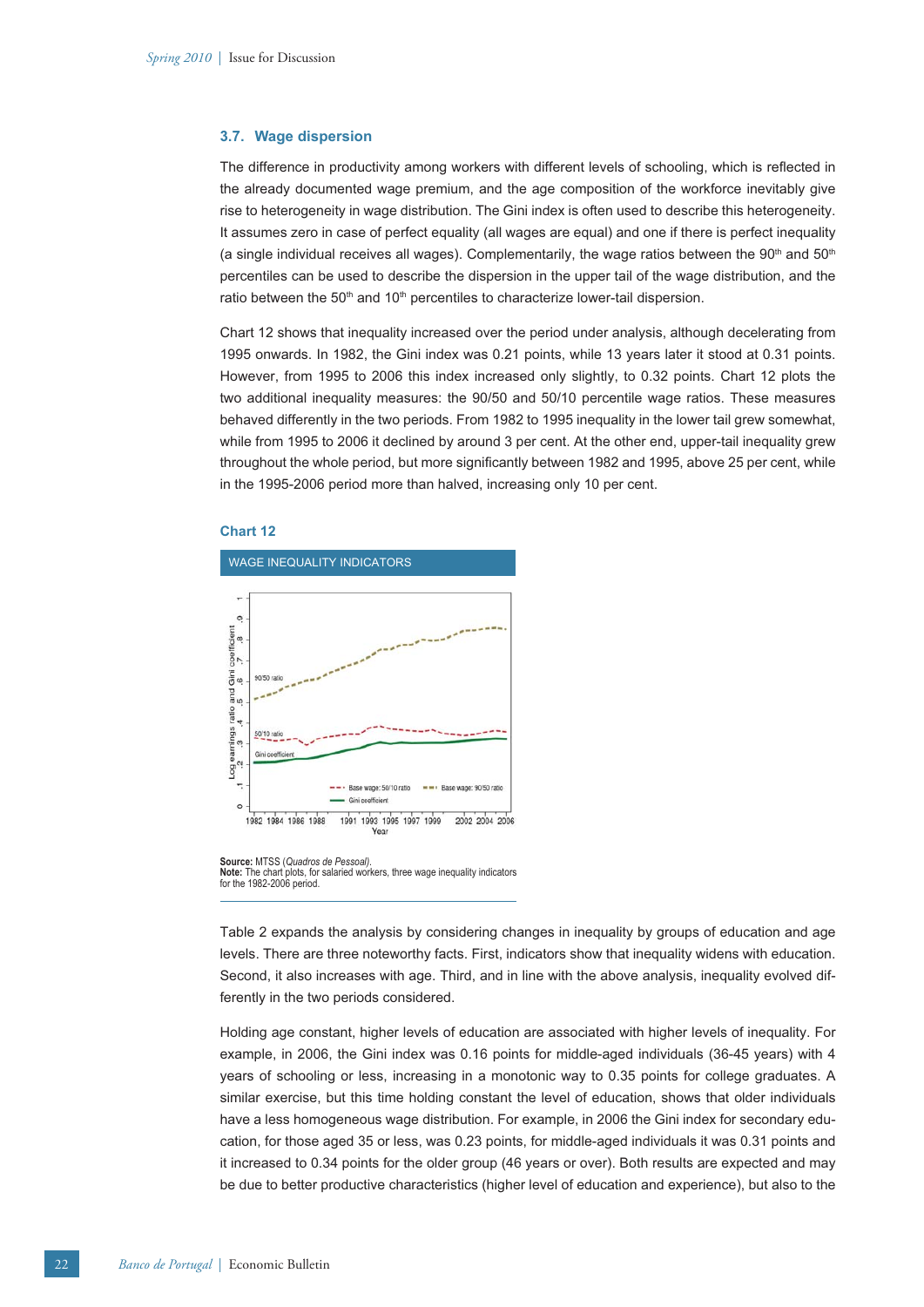#### **3.7. Wage dispersion**

The difference in productivity among workers with different levels of schooling, which is reflected in the already documented wage premium, and the age composition of the workforce inevitably give rise to heterogeneity in wage distribution. The Gini index is often used to describe this heterogeneity. It assumes zero in case of perfect equality (all wages are equal) and one if there is perfect inequality (a single individual receives all wages). Complementarily, the wage ratios between the  $90<sup>th</sup>$  and  $50<sup>th</sup>$ percentiles can be used to describe the dispersion in the upper tail of the wage distribution, and the ratio between the 50<sup>th</sup> and 10<sup>th</sup> percentiles to characterize lower-tail dispersion.

Chart 12 shows that inequality increased over the period under analysis, although decelerating from 1995 onwards. In 1982, the Gini index was 0.21 points, while 13 years later it stood at 0.31 points. However, from 1995 to 2006 this index increased only slightly, to 0.32 points. Chart 12 plots the two additional inequality measures: the 90/50 and 50/10 percentile wage ratios. These measures behaved differently in the two periods. From 1982 to 1995 inequality in the lower tail grew somewhat, while from 1995 to 2006 it declined by around 3 per cent. At the other end, upper-tail inequality grew throughout the whole period, but more significantly between 1982 and 1995, above 25 per cent, while in the 1995-2006 period more than halved, increasing only 10 per cent.

# **Chart 12**





Table 2 expands the analysis by considering changes in inequality by groups of education and age levels. There are three noteworthy facts. First, indicators show that inequality widens with education. Second, it also increases with age. Third, and in line with the above analysis, inequality evolved differently in the two periods considered.

Holding age constant, higher levels of education are associated with higher levels of inequality. For example, in 2006, the Gini index was 0.16 points for middle-aged individuals (36-45 years) with 4 years of schooling or less, increasing in a monotonic way to 0.35 points for college graduates. A similar exercise, but this time holding constant the level of education, shows that older individuals have a less homogeneous wage distribution. For example, in 2006 the Gini index for secondary education, for those aged 35 or less, was 0.23 points, for middle-aged individuals it was 0.31 points and it increased to 0.34 points for the older group (46 years or over). Both results are expected and may be due to better productive characteristics (higher level of education and experience), but also to the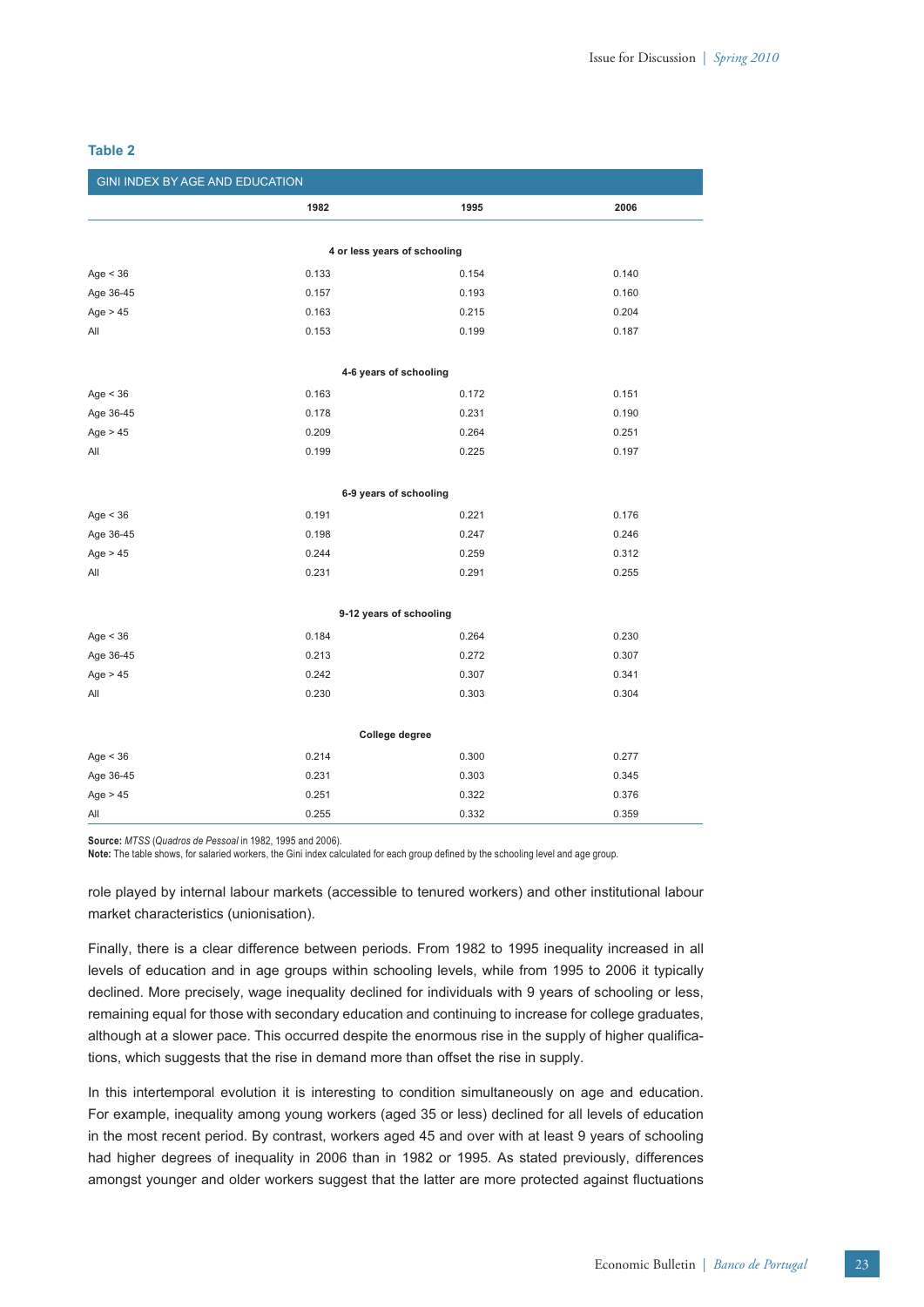| GINI INDEX BY AGE AND EDUCATION |                              |       |       |  |  |  |
|---------------------------------|------------------------------|-------|-------|--|--|--|
|                                 | 1982                         | 1995  | 2006  |  |  |  |
|                                 |                              |       |       |  |  |  |
|                                 | 4 or less years of schooling |       |       |  |  |  |
| Age $<$ 36                      | 0.133                        | 0.154 | 0.140 |  |  |  |
| Age 36-45                       | 0.157                        | 0.193 | 0.160 |  |  |  |
| Age $> 45$                      | 0.163                        | 0.215 | 0.204 |  |  |  |
| All                             | 0.153                        | 0.199 | 0.187 |  |  |  |
|                                 | 4-6 years of schooling       |       |       |  |  |  |
| Age $<$ 36                      | 0.163                        | 0.172 | 0.151 |  |  |  |
| Age 36-45                       | 0.178                        | 0.231 | 0.190 |  |  |  |
| Age $> 45$                      | 0.209                        | 0.264 | 0.251 |  |  |  |
| All                             | 0.199                        | 0.225 | 0.197 |  |  |  |
|                                 |                              |       |       |  |  |  |
|                                 | 6-9 years of schooling       |       |       |  |  |  |
| Age $<$ 36                      | 0.191                        | 0.221 | 0.176 |  |  |  |
| Age 36-45                       | 0.198                        | 0.247 | 0.246 |  |  |  |
| Age $> 45$                      | 0.244                        | 0.259 | 0.312 |  |  |  |
| All                             | 0.231                        | 0.291 | 0.255 |  |  |  |
| 9-12 years of schooling         |                              |       |       |  |  |  |
| Age $<$ 36                      | 0.184                        | 0.264 | 0.230 |  |  |  |
| Age 36-45                       | 0.213                        | 0.272 | 0.307 |  |  |  |
| Age $> 45$                      | 0.242                        | 0.307 | 0.341 |  |  |  |
| All                             | 0.230                        | 0.303 | 0.304 |  |  |  |
| College degree                  |                              |       |       |  |  |  |
|                                 |                              |       |       |  |  |  |
| Age $<$ 36                      | 0.214                        | 0.300 | 0.277 |  |  |  |
| Age 36-45                       | 0.231                        | 0.303 | 0.345 |  |  |  |
| Age $> 45$                      | 0.251                        | 0.322 | 0.376 |  |  |  |
| All                             | 0.255                        | 0.332 | 0.359 |  |  |  |

### **Table 2**

**Source:** *MTSS* (*Quadros de Pessoal* in 1982, 1995 and 2006).

Note: The table shows, for salaried workers, the Gini index calculated for each group defined by the schooling level and age group.

role played by internal labour markets (accessible to tenured workers) and other institutional labour market characteristics (unionisation).

Finally, there is a clear difference between periods. From 1982 to 1995 inequality increased in all levels of education and in age groups within schooling levels, while from 1995 to 2006 it typically declined. More precisely, wage inequality declined for individuals with 9 years of schooling or less, remaining equal for those with secondary education and continuing to increase for college graduates, although at a slower pace. This occurred despite the enormous rise in the supply of higher qualifications, which suggests that the rise in demand more than offset the rise in supply.

In this intertemporal evolution it is interesting to condition simultaneously on age and education. For example, inequality among young workers (aged 35 or less) declined for all levels of education in the most recent period. By contrast, workers aged 45 and over with at least 9 years of schooling had higher degrees of inequality in 2006 than in 1982 or 1995. As stated previously, differences amongst younger and older workers suggest that the latter are more protected against fluctuations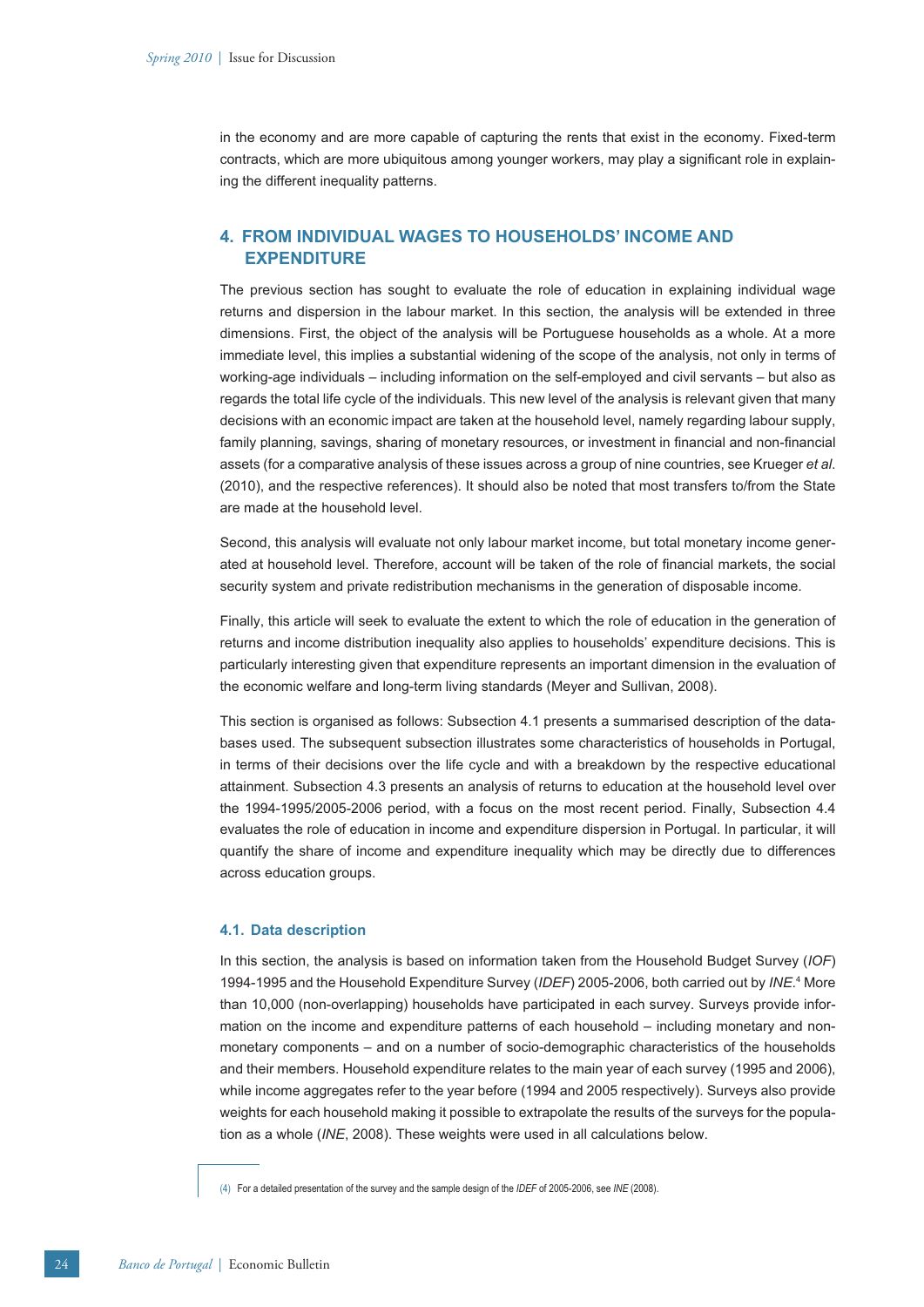in the economy and are more capable of capturing the rents that exist in the economy. Fixed-term contracts, which are more ubiquitous among younger workers, may play a significant role in explaining the different inequality patterns.

# **4. FROM INDIVIDUAL WAGES TO HOUSEHOLDS' INCOME AND EXPENDITURE**

The previous section has sought to evaluate the role of education in explaining individual wage returns and dispersion in the labour market. In this section, the analysis will be extended in three dimensions. First, the object of the analysis will be Portuguese households as a whole. At a more immediate level, this implies a substantial widening of the scope of the analysis, not only in terms of working-age individuals – including information on the self-employed and civil servants – but also as regards the total life cycle of the individuals. This new level of the analysis is relevant given that many decisions with an economic impact are taken at the household level, namely regarding labour supply, family planning, savings, sharing of monetary resources, or investment in financial and non-financial assets (for a comparative analysis of these issues across a group of nine countries, see Krueger *et al*. (2010), and the respective references). It should also be noted that most transfers to/from the State are made at the household level.

Second, this analysis will evaluate not only labour market income, but total monetary income generated at household level. Therefore, account will be taken of the role of financial markets, the social security system and private redistribution mechanisms in the generation of disposable income.

Finally, this article will seek to evaluate the extent to which the role of education in the generation of returns and income distribution inequality also applies to households' expenditure decisions. This is particularly interesting given that expenditure represents an important dimension in the evaluation of the economic welfare and long-term living standards (Meyer and Sullivan, 2008).

This section is organised as follows: Subsection 4.1 presents a summarised description of the databases used. The subsequent subsection illustrates some characteristics of households in Portugal, in terms of their decisions over the life cycle and with a breakdown by the respective educational attainment. Subsection 4.3 presents an analysis of returns to education at the household level over the 1994-1995/2005-2006 period, with a focus on the most recent period. Finally, Subsection 4.4 evaluates the role of education in income and expenditure dispersion in Portugal. In particular, it will quantify the share of income and expenditure inequality which may be directly due to differences across education groups.

# **4.1. Data description**

In this section, the analysis is based on information taken from the Household Budget Survey (*IOF*) 1994-1995 and the Household Expenditure Survey (IDEF) 2005-2006, both carried out by INE.<sup>4</sup> More than 10,000 (non-overlapping) households have participated in each survey. Surveys provide information on the income and expenditure patterns of each household – including monetary and nonmonetary components – and on a number of socio-demographic characteristics of the households and their members. Household expenditure relates to the main year of each survey (1995 and 2006), while income aggregates refer to the year before (1994 and 2005 respectively). Surveys also provide weights for each household making it possible to extrapolate the results of the surveys for the population as a whole (*INE*, 2008). These weights were used in all calculations below.

<sup>(4)</sup> For a detailed presentation of the survey and the sample design of the *IDEF* of 2005-2006, see *INE* (2008).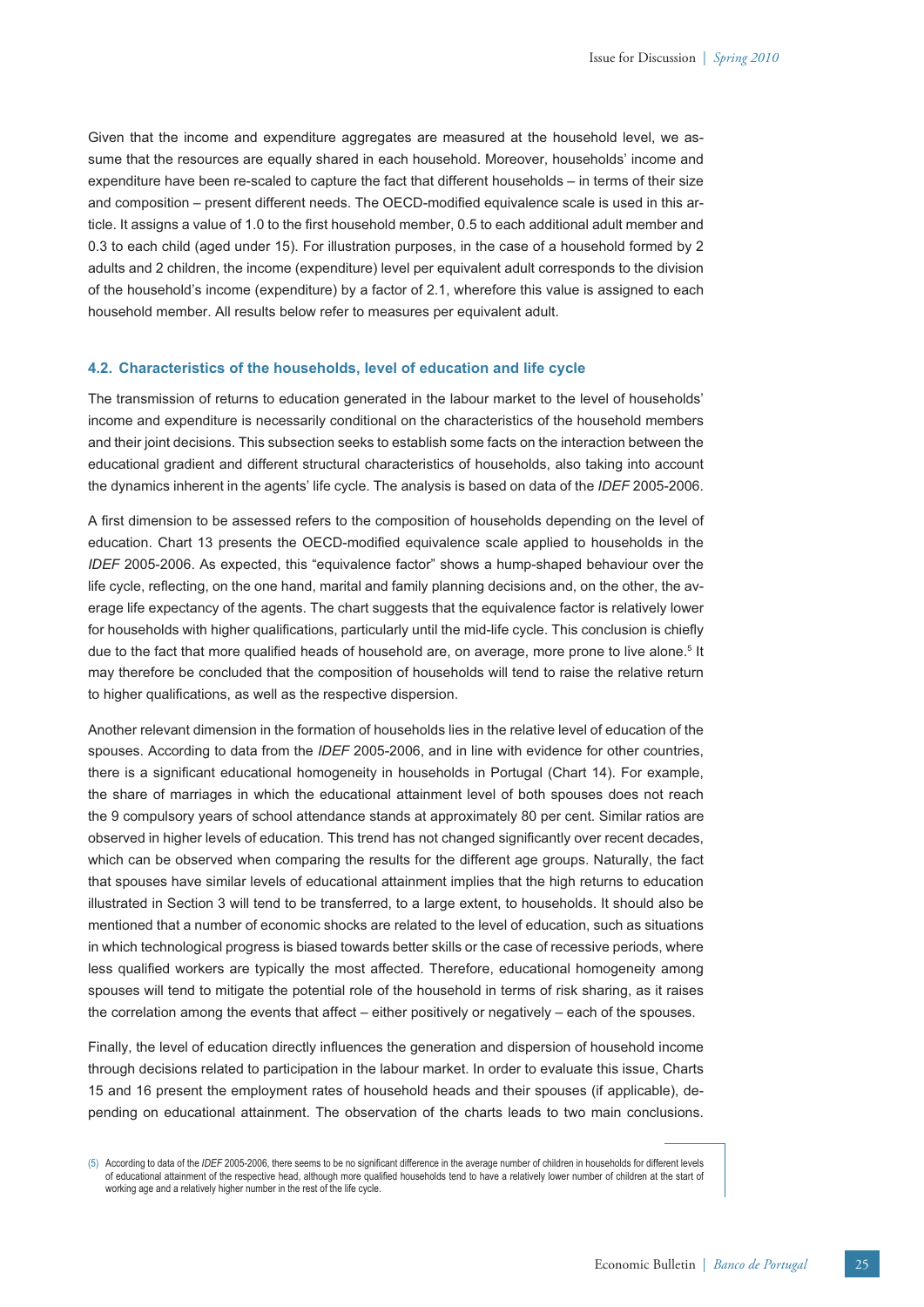Given that the income and expenditure aggregates are measured at the household level, we assume that the resources are equally shared in each household. Moreover, households' income and expenditure have been re-scaled to capture the fact that different households – in terms of their size and composition – present different needs. The OECD-modified equivalence scale is used in this article. It assigns a value of 1.0 to the first household member, 0.5 to each additional adult member and 0.3 to each child (aged under 15). For illustration purposes, in the case of a household formed by 2 adults and 2 children, the income (expenditure) level per equivalent adult corresponds to the division of the household's income (expenditure) by a factor of 2.1, wherefore this value is assigned to each household member. All results below refer to measures per equivalent adult.

### **4.2. Characteristics of the households, level of education and life cycle**

The transmission of returns to education generated in the labour market to the level of households' income and expenditure is necessarily conditional on the characteristics of the household members and their joint decisions. This subsection seeks to establish some facts on the interaction between the educational gradient and different structural characteristics of households, also taking into account the dynamics inherent in the agents' life cycle. The analysis is based on data of the *IDEF* 2005-2006.

A first dimension to be assessed refers to the composition of households depending on the level of education. Chart 13 presents the OECD-modified equivalence scale applied to households in the *IDEF* 2005-2006. As expected, this "equivalence factor" shows a hump-shaped behaviour over the life cycle, reflecting, on the one hand, marital and family planning decisions and, on the other, the average life expectancy of the agents. The chart suggests that the equivalence factor is relatively lower for households with higher qualifications, particularly until the mid-life cycle. This conclusion is chiefly due to the fact that more qualified heads of household are, on average, more prone to live alone.<sup>5</sup> It may therefore be concluded that the composition of households will tend to raise the relative return to higher qualifications, as well as the respective dispersion.

Another relevant dimension in the formation of households lies in the relative level of education of the spouses. According to data from the *IDEF* 2005-2006, and in line with evidence for other countries, there is a significant educational homogeneity in households in Portugal (Chart 14). For example, the share of marriages in which the educational attainment level of both spouses does not reach the 9 compulsory years of school attendance stands at approximately 80 per cent. Similar ratios are observed in higher levels of education. This trend has not changed significantly over recent decades, which can be observed when comparing the results for the different age groups. Naturally, the fact that spouses have similar levels of educational attainment implies that the high returns to education illustrated in Section 3 will tend to be transferred, to a large extent, to households. It should also be mentioned that a number of economic shocks are related to the level of education, such as situations in which technological progress is biased towards better skills or the case of recessive periods, where less qualified workers are typically the most affected. Therefore, educational homogeneity among spouses will tend to mitigate the potential role of the household in terms of risk sharing, as it raises the correlation among the events that affect – either positively or negatively – each of the spouses.

Finally, the level of education directly influences the generation and dispersion of household income through decisions related to participation in the labour market. In order to evaluate this issue, Charts 15 and 16 present the employment rates of household heads and their spouses (if applicable), depending on educational attainment. The observation of the charts leads to two main conclusions.

<sup>(5)</sup> According to data of the IDEF 2005-2006, there seems to be no significant difference in the average number of children in households for different levels of educational attainment of the respective head, although more qualified households tend to have a relatively lower number of children at the start of working age and a relatively higher number in the rest of the life cycle.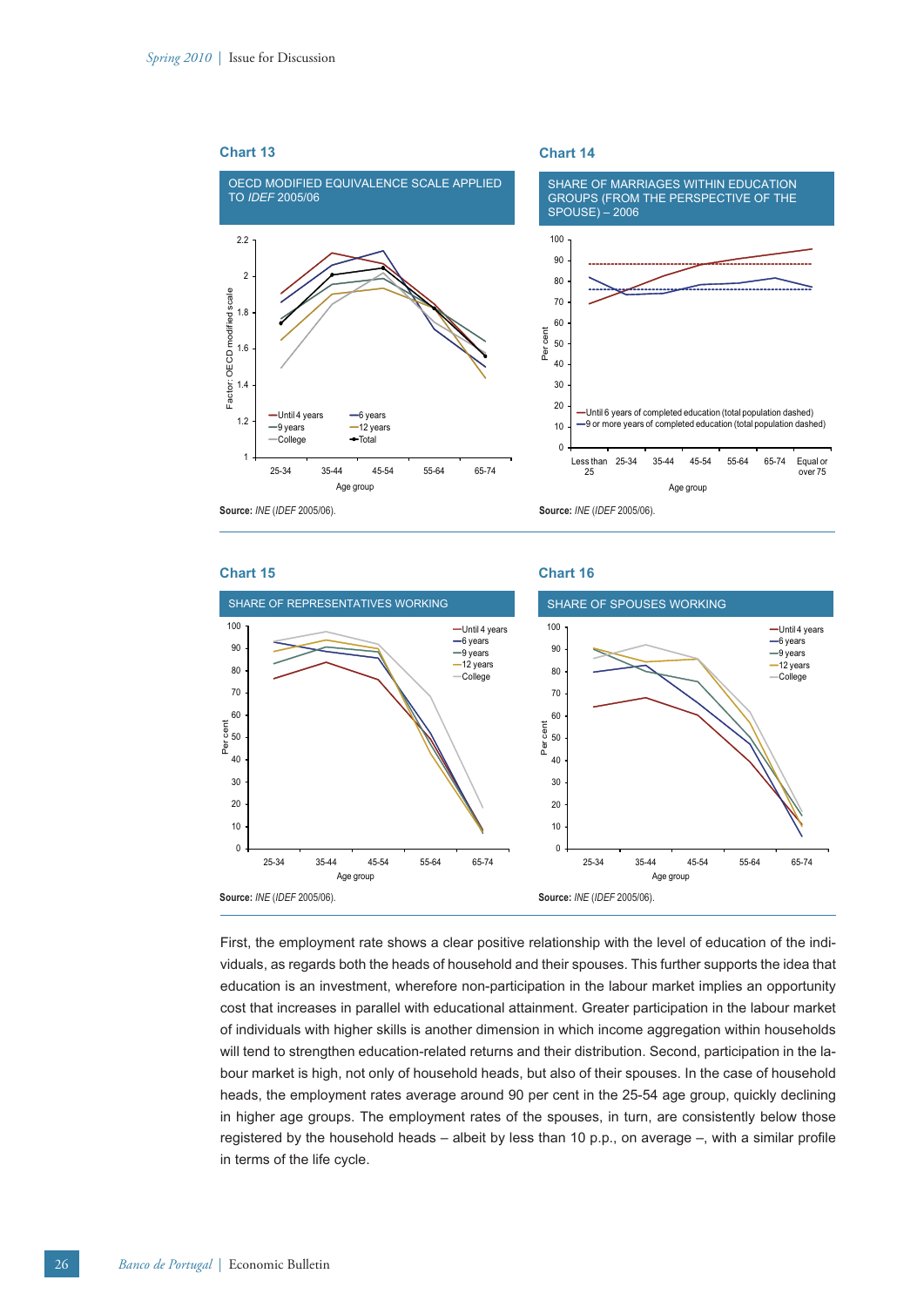

# **Chart 15**

**Chart 16**



First, the employment rate shows a clear positive relationship with the level of education of the individuals, as regards both the heads of household and their spouses. This further supports the idea that education is an investment, wherefore non-participation in the labour market implies an opportunity cost that increases in parallel with educational attainment. Greater participation in the labour market of individuals with higher skills is another dimension in which income aggregation within households will tend to strengthen education-related returns and their distribution. Second, participation in the labour market is high, not only of household heads, but also of their spouses. In the case of household heads, the employment rates average around 90 per cent in the 25-54 age group, quickly declining in higher age groups. The employment rates of the spouses, in turn, are consistently below those registered by the household heads – albeit by less than 10 p.p., on average  $-$ , with a similar profile in terms of the life cycle.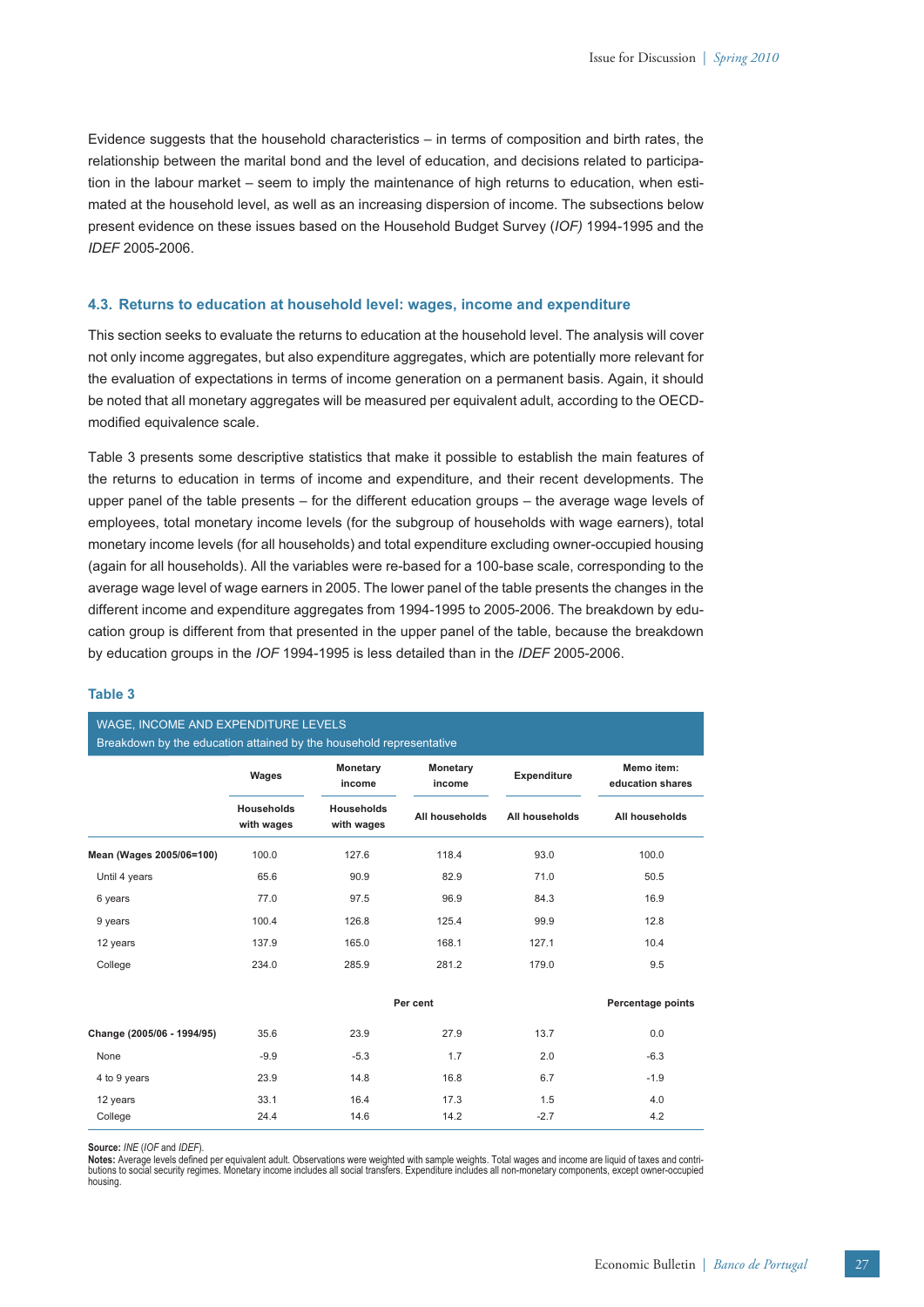Evidence suggests that the household characteristics – in terms of composition and birth rates, the relationship between the marital bond and the level of education, and decisions related to participation in the labour market – seem to imply the maintenance of high returns to education, when estimated at the household level, as well as an increasing dispersion of income. The subsections below present evidence on these issues based on the Household Budget Survey (*IOF)* 1994-1995 and the *IDEF* 2005-2006.

# **4.3. Returns to education at household level: wages, income and expenditure**

This section seeks to evaluate the returns to education at the household level. The analysis will cover not only income aggregates, but also expenditure aggregates, which are potentially more relevant for the evaluation of expectations in terms of income generation on a permanent basis. Again, it should be noted that all monetary aggregates will be measured per equivalent adult, according to the OECDmodified equivalence scale.

Table 3 presents some descriptive statistics that make it possible to establish the main features of the returns to education in terms of income and expenditure, and their recent developments. The upper panel of the table presents – for the different education groups – the average wage levels of employees, total monetary income levels (for the subgroup of households with wage earners), total monetary income levels (for all households) and total expenditure excluding owner-occupied housing (again for all households). All the variables were re-based for a 100-base scale, corresponding to the average wage level of wage earners in 2005. The lower panel of the table presents the changes in the different income and expenditure aggregates from 1994-1995 to 2005-2006. The breakdown by education group is different from that presented in the upper panel of the table, because the breakdown by education groups in the *IOF* 1994-1995 is less detailed than in the *IDEF* 2005-2006.

# **Table 3**

WAGE, INCOME AND EXPENDITURE LEVEL

| MASE, INCOME AND EAT ENDITOINE LEVELO<br>Breakdown by the education attained by the household representative |                                 |                                 |                           |                    |                                |
|--------------------------------------------------------------------------------------------------------------|---------------------------------|---------------------------------|---------------------------|--------------------|--------------------------------|
|                                                                                                              | Wages                           | Monetary<br>income              | <b>Monetary</b><br>income | <b>Expenditure</b> | Memo item:<br>education shares |
|                                                                                                              | <b>Households</b><br>with wages | <b>Households</b><br>with wages | All households            | All households     | All households                 |
| Mean (Wages 2005/06=100)                                                                                     | 100.0                           | 127.6                           | 118.4                     | 93.0               | 100.0                          |
| Until 4 years                                                                                                | 65.6                            | 90.9                            | 82.9                      | 71.0               | 50.5                           |
| 6 years                                                                                                      | 77.0                            | 97.5                            | 96.9                      | 84.3               | 16.9                           |
| 9 years                                                                                                      | 100.4                           | 126.8                           | 125.4                     | 99.9               | 12.8                           |
| 12 years                                                                                                     | 137.9                           | 165.0                           | 168.1                     | 127.1              | 10.4                           |
| College                                                                                                      | 234.0                           | 285.9                           | 281.2                     | 179.0              | 9.5                            |
|                                                                                                              |                                 |                                 | Per cent                  |                    | <b>Percentage points</b>       |
| Change (2005/06 - 1994/95)                                                                                   | 35.6                            | 23.9                            | 27.9                      | 13.7               | 0.0                            |
| None                                                                                                         | $-9.9$                          | $-5.3$                          | 1.7                       | 2.0                | $-6.3$                         |
| 4 to 9 years                                                                                                 | 23.9                            | 14.8                            | 16.8                      | 6.7                | $-1.9$                         |
| 12 years                                                                                                     | 33.1                            | 16.4                            | 17.3                      | 1.5                | 4.0                            |
| College                                                                                                      | 24.4                            | 14.6                            | 14.2                      | $-2.7$             | 4.2                            |

**Source:** *INE* (*IOF* and *IDEF*).

Notes: Average levels defined per equivalent adult. Observations were weighted with sample weights. Total wages and income are liquid of taxes and contri-<br>butions to social security regimes. Monetary income includes all so housing.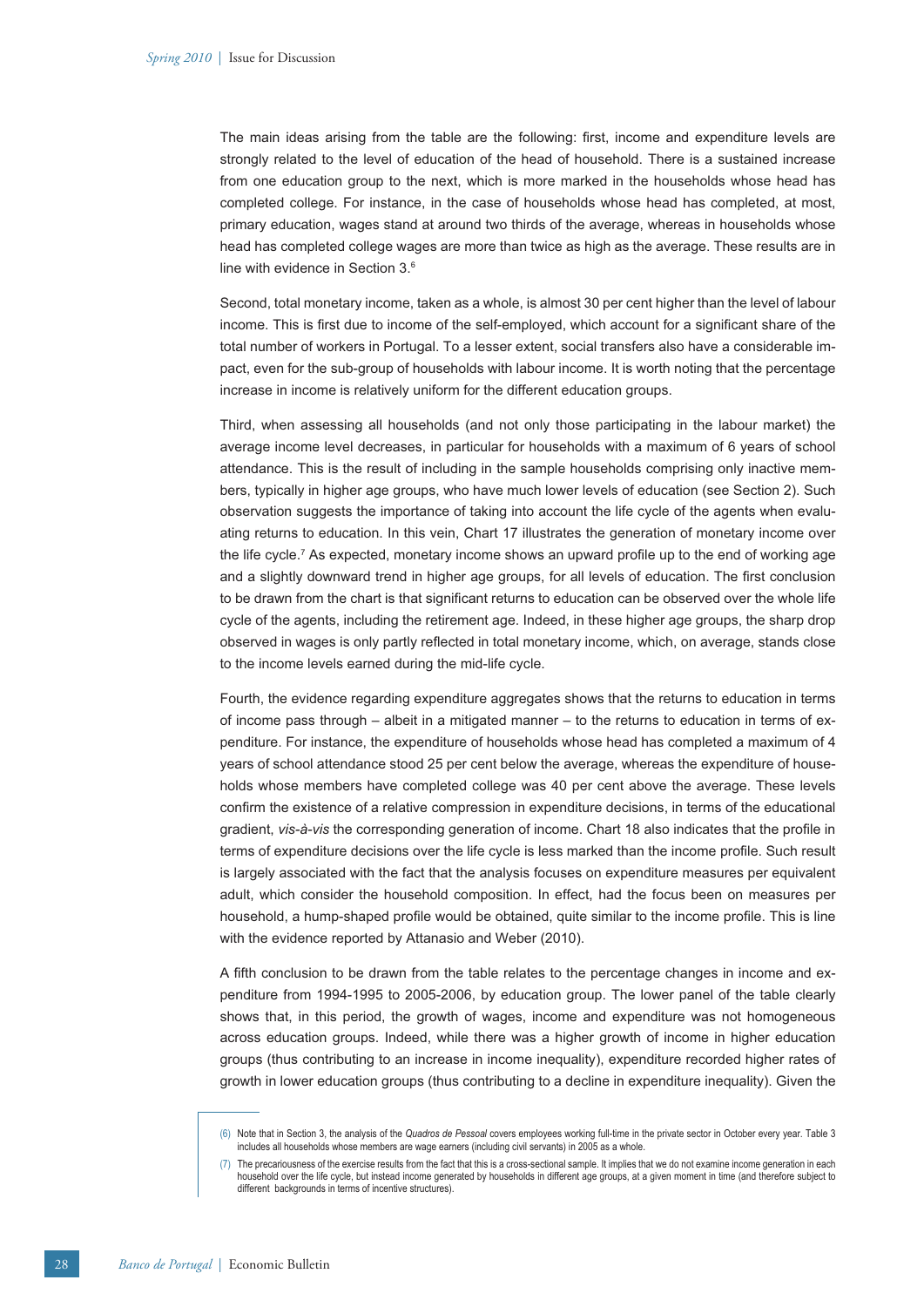The main ideas arising from the table are the following: first, income and expenditure levels are strongly related to the level of education of the head of household. There is a sustained increase from one education group to the next, which is more marked in the households whose head has completed college. For instance, in the case of households whose head has completed, at most, primary education, wages stand at around two thirds of the average, whereas in households whose head has completed college wages are more than twice as high as the average. These results are in line with evidence in Section 3.6

Second, total monetary income, taken as a whole, is almost 30 per cent higher than the level of labour income. This is first due to income of the self-employed, which account for a significant share of the total number of workers in Portugal. To a lesser extent, social transfers also have a considerable impact, even for the sub-group of households with labour income. It is worth noting that the percentage increase in income is relatively uniform for the different education groups.

Third, when assessing all households (and not only those participating in the labour market) the average income level decreases, in particular for households with a maximum of 6 years of school attendance. This is the result of including in the sample households comprising only inactive members, typically in higher age groups, who have much lower levels of education (see Section 2). Such observation suggests the importance of taking into account the life cycle of the agents when evaluating returns to education. In this vein, Chart 17 illustrates the generation of monetary income over the life cycle.<sup>7</sup> As expected, monetary income shows an upward profile up to the end of working age and a slightly downward trend in higher age groups, for all levels of education. The first conclusion to be drawn from the chart is that significant returns to education can be observed over the whole life cycle of the agents, including the retirement age. Indeed, in these higher age groups, the sharp drop observed in wages is only partly reflected in total monetary income, which, on average, stands close to the income levels earned during the mid-life cycle.

Fourth, the evidence regarding expenditure aggregates shows that the returns to education in terms of income pass through – albeit in a mitigated manner – to the returns to education in terms of expenditure. For instance, the expenditure of households whose head has completed a maximum of 4 years of school attendance stood 25 per cent below the average, whereas the expenditure of households whose members have completed college was 40 per cent above the average. These levels confirm the existence of a relative compression in expenditure decisions, in terms of the educational gradient, *vis-à-vis* the corresponding generation of income. Chart 18 also indicates that the profile in terms of expenditure decisions over the life cycle is less marked than the income profile. Such result is largely associated with the fact that the analysis focuses on expenditure measures per equivalent adult, which consider the household composition. In effect, had the focus been on measures per household, a hump-shaped profile would be obtained, quite similar to the income profile. This is line with the evidence reported by Attanasio and Weber (2010).

A fifth conclusion to be drawn from the table relates to the percentage changes in income and expenditure from 1994-1995 to 2005-2006, by education group. The lower panel of the table clearly shows that, in this period, the growth of wages, income and expenditure was not homogeneous across education groups. Indeed, while there was a higher growth of income in higher education groups (thus contributing to an increase in income inequality), expenditure recorded higher rates of growth in lower education groups (thus contributing to a decline in expenditure inequality). Given the

<sup>(6)</sup> Note that in Section 3, the analysis of the *Quadros de Pessoal* covers employees working full-time in the private sector in October every year. Table 3 includes all households whose members are wage earners (including civil servants) in 2005 as a whole.

<sup>(7)</sup> The precariousness of the exercise results from the fact that this is a cross-sectional sample. It implies that we do not examine income generation in each household over the life cycle, but instead income generated by households in different age groups, at a given moment in time (and therefore subject to different backgrounds in terms of incentive structures).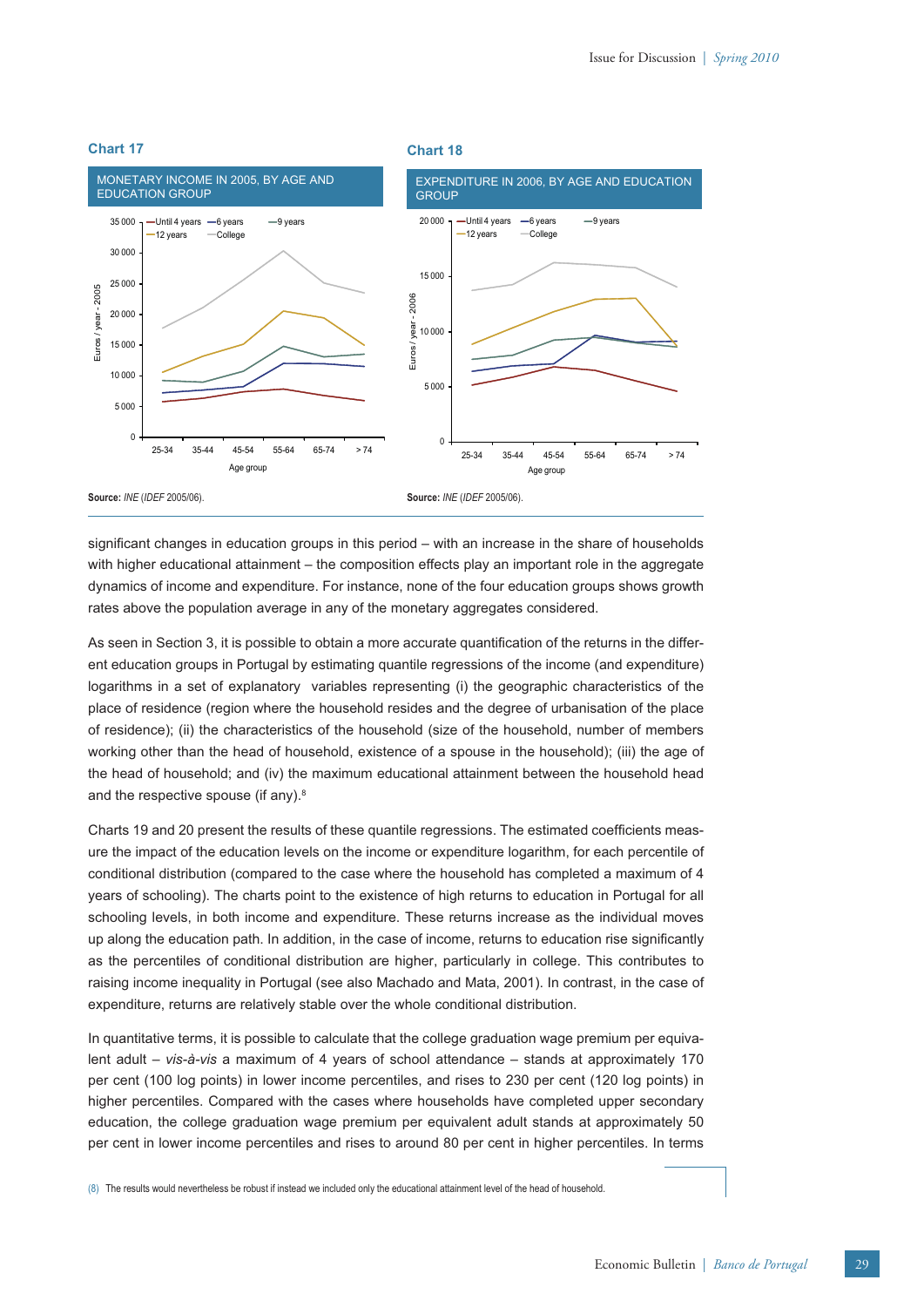

significant changes in education groups in this period – with an increase in the share of households with higher educational attainment – the composition effects play an important role in the aggregate dynamics of income and expenditure. For instance, none of the four education groups shows growth rates above the population average in any of the monetary aggregates considered.

As seen in Section 3, it is possible to obtain a more accurate quantification of the returns in the different education groups in Portugal by estimating quantile regressions of the income (and expenditure) logarithms in a set of explanatory variables representing (i) the geographic characteristics of the place of residence (region where the household resides and the degree of urbanisation of the place of residence); (ii) the characteristics of the household (size of the household, number of members working other than the head of household, existence of a spouse in the household); (iii) the age of the head of household; and (iv) the maximum educational attainment between the household head and the respective spouse (if any).<sup>8</sup>

Charts 19 and 20 present the results of these quantile regressions. The estimated coefficients measure the impact of the education levels on the income or expenditure logarithm, for each percentile of conditional distribution (compared to the case where the household has completed a maximum of 4 years of schooling). The charts point to the existence of high returns to education in Portugal for all schooling levels, in both income and expenditure. These returns increase as the individual moves up along the education path. In addition, in the case of income, returns to education rise significantly as the percentiles of conditional distribution are higher, particularly in college. This contributes to raising income inequality in Portugal (see also Machado and Mata, 2001). In contrast, in the case of expenditure, returns are relatively stable over the whole conditional distribution.

In quantitative terms, it is possible to calculate that the college graduation wage premium per equivalent adult – *vis-à-vis* a maximum of 4 years of school attendance – stands at approximately 170 per cent (100 log points) in lower income percentiles, and rises to 230 per cent (120 log points) in higher percentiles. Compared with the cases where households have completed upper secondary education, the college graduation wage premium per equivalent adult stands at approximately 50 per cent in lower income percentiles and rises to around 80 per cent in higher percentiles. In terms

(8) The results would nevertheless be robust if instead we included only the educational attainment level of the head of household.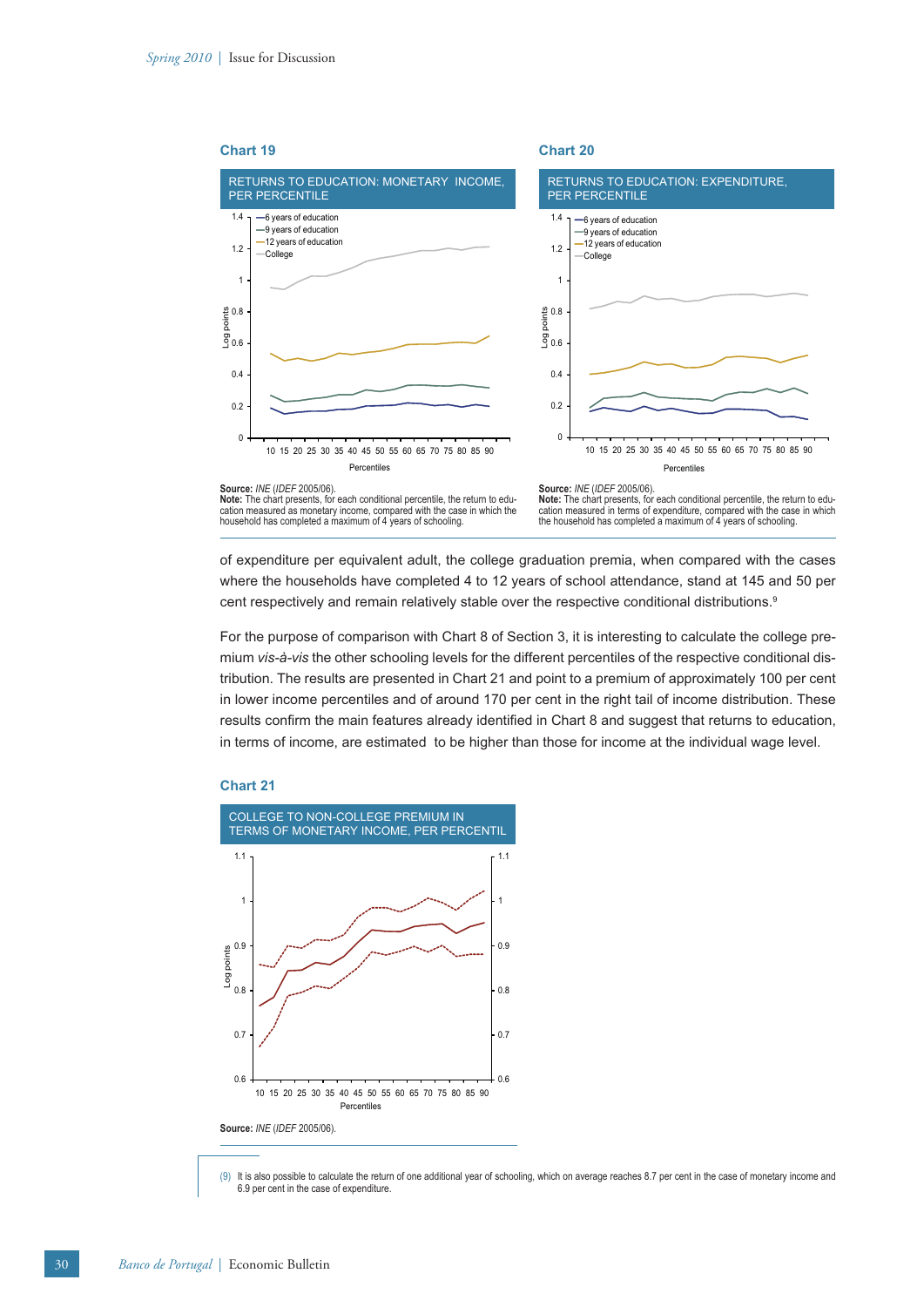

of expenditure per equivalent adult, the college graduation premia, when compared with the cases where the households have completed 4 to 12 years of school attendance, stand at 145 and 50 per cent respectively and remain relatively stable over the respective conditional distributions.<sup>9</sup>

For the purpose of comparison with Chart 8 of Section 3, it is interesting to calculate the college premium *vis-à-vis* the other schooling levels for the different percentiles of the respective conditional distribution. The results are presented in Chart 21 and point to a premium of approximately 100 per cent in lower income percentiles and of around 170 per cent in the right tail of income distribution. These results confirm the main features already identified in Chart 8 and suggest that returns to education, in terms of income, are estimated to be higher than those for income at the individual wage level.

# **Chart 21**



<sup>(9)</sup> It is also possible to calculate the return of one additional year of schooling, which on average reaches 8.7 per cent in the case of monetary income and 6.9 per cent in the case of expenditure.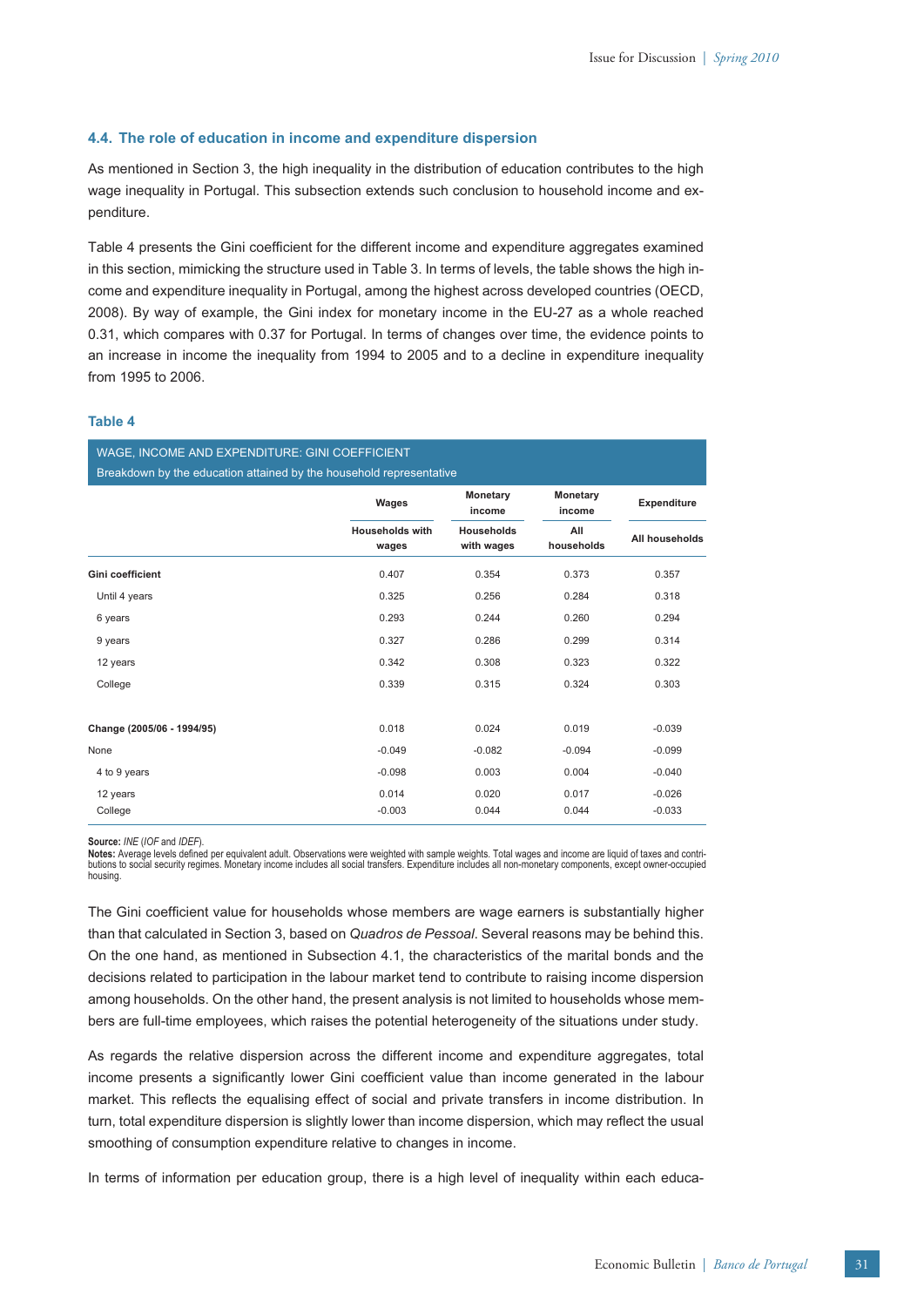#### **4.4. The role of education in income and expenditure dispersion**

As mentioned in Section 3, the high inequality in the distribution of education contributes to the high wage inequality in Portugal. This subsection extends such conclusion to household income and expenditure.

Table 4 presents the Gini coefficient for the different income and expenditure aggregates examined in this section, mimicking the structure used in Table 3. In terms of levels, the table shows the high income and expenditure inequality in Portugal, among the highest across developed countries (OECD, 2008). By way of example, the Gini index for monetary income in the EU-27 as a whole reached 0.31, which compares with 0.37 for Portugal. In terms of changes over time, the evidence points to an increase in income the inequality from 1994 to 2005 and to a decline in expenditure inequality from 1995 to 2006.

# **Table 4**

WAGE, INCOME AND EXPENDITURE: GINI COEFFICIENT Breakdown by the education attained by the household representative

|                            | Wages                    | Monetary<br>income<br><b>Households</b><br>with wages | Monetary<br>income<br>All<br>households | <b>Expenditure</b><br>All households |
|----------------------------|--------------------------|-------------------------------------------------------|-----------------------------------------|--------------------------------------|
|                            | Households with<br>wages |                                                       |                                         |                                      |
| Gini coefficient           | 0.407                    | 0.354                                                 | 0.373                                   | 0.357                                |
| Until 4 years              | 0.325                    | 0.256                                                 | 0.284                                   | 0.318                                |
| 6 years                    | 0.293                    | 0.244                                                 | 0.260                                   | 0.294                                |
| 9 years                    | 0.327                    | 0.286                                                 | 0.299                                   | 0.314                                |
| 12 years                   | 0.342                    | 0.308                                                 | 0.323                                   | 0.322                                |
| College                    | 0.339                    | 0.315                                                 | 0.324                                   | 0.303                                |
| Change (2005/06 - 1994/95) | 0.018                    | 0.024                                                 | 0.019                                   | $-0.039$                             |
| None                       | $-0.049$                 | $-0.082$                                              | $-0.094$                                | $-0.099$                             |
| 4 to 9 years               | $-0.098$                 | 0.003                                                 | 0.004                                   | $-0.040$                             |
| 12 years                   | 0.014                    | 0.020                                                 | 0.017                                   | $-0.026$                             |
| College                    | $-0.003$                 | 0.044                                                 | 0.044                                   | $-0.033$                             |

**Source:** *INE* (*IOF* and *IDEF*).

Notes: Average levels defined per equivalent adult. Observations were weighted with sample weights. Total wages and income are liquid of taxes and contributions to social security regimes. Monetary income includes all social transfers. Expenditure includes all non-monetary components, except owner-occupied housing.

The Gini coefficient value for households whose members are wage earners is substantially higher than that calculated in Section 3, based on *Quadros de Pessoal*. Several reasons may be behind this. On the one hand, as mentioned in Subsection 4.1, the characteristics of the marital bonds and the decisions related to participation in the labour market tend to contribute to raising income dispersion among households. On the other hand, the present analysis is not limited to households whose members are full-time employees, which raises the potential heterogeneity of the situations under study.

As regards the relative dispersion across the different income and expenditure aggregates, total income presents a significantly lower Gini coefficient value than income generated in the labour market. This reflects the equalising effect of social and private transfers in income distribution. In turn, total expenditure dispersion is slightly lower than income dispersion, which may reflect the usual smoothing of consumption expenditure relative to changes in income.

In terms of information per education group, there is a high level of inequality within each educa-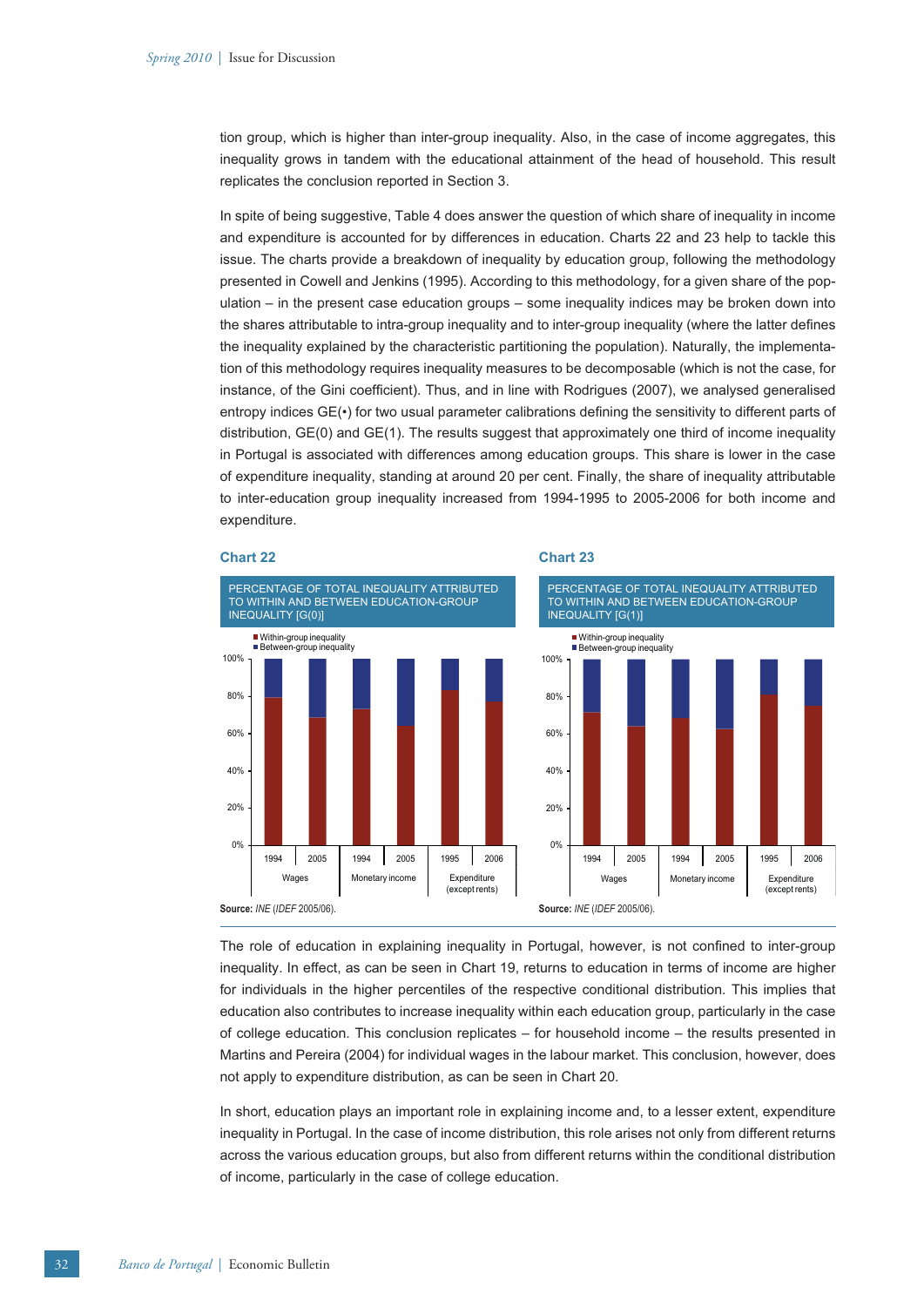tion group, which is higher than inter-group inequality. Also, in the case of income aggregates, this inequality grows in tandem with the educational attainment of the head of household. This result replicates the conclusion reported in Section 3.

In spite of being suggestive, Table 4 does answer the question of which share of inequality in income and expenditure is accounted for by differences in education. Charts 22 and 23 help to tackle this issue. The charts provide a breakdown of inequality by education group, following the methodology presented in Cowell and Jenkins (1995). According to this methodology, for a given share of the population – in the present case education groups – some inequality indices may be broken down into the shares attributable to intra-group inequality and to inter-group inequality (where the latter defines the inequality explained by the characteristic partitioning the population). Naturally, the implementation of this methodology requires inequality measures to be decomposable (which is not the case, for instance, of the Gini coefficient). Thus, and in line with Rodrigues (2007), we analysed generalised entropy indices GE( $\cdot$ ) for two usual parameter calibrations defining the sensitivity to different parts of distribution, GE(0) and GE(1). The results suggest that approximately one third of income inequality in Portugal is associated with differences among education groups. This share is lower in the case of expenditure inequality, standing at around 20 per cent. Finally, the share of inequality attributable to inter-education group inequality increased from 1994-1995 to 2005-2006 for both income and expenditure.



The role of education in explaining inequality in Portugal, however, is not confined to inter-group inequality. In effect, as can be seen in Chart 19, returns to education in terms of income are higher for individuals in the higher percentiles of the respective conditional distribution. This implies that education also contributes to increase inequality within each education group, particularly in the case of college education. This conclusion replicates – for household income – the results presented in Martins and Pereira (2004) for individual wages in the labour market. This conclusion, however, does not apply to expenditure distribution, as can be seen in Chart 20.

In short, education plays an important role in explaining income and, to a lesser extent, expenditure inequality in Portugal. In the case of income distribution, this role arises not only from different returns across the various education groups, but also from different returns within the conditional distribution of income, particularly in the case of college education.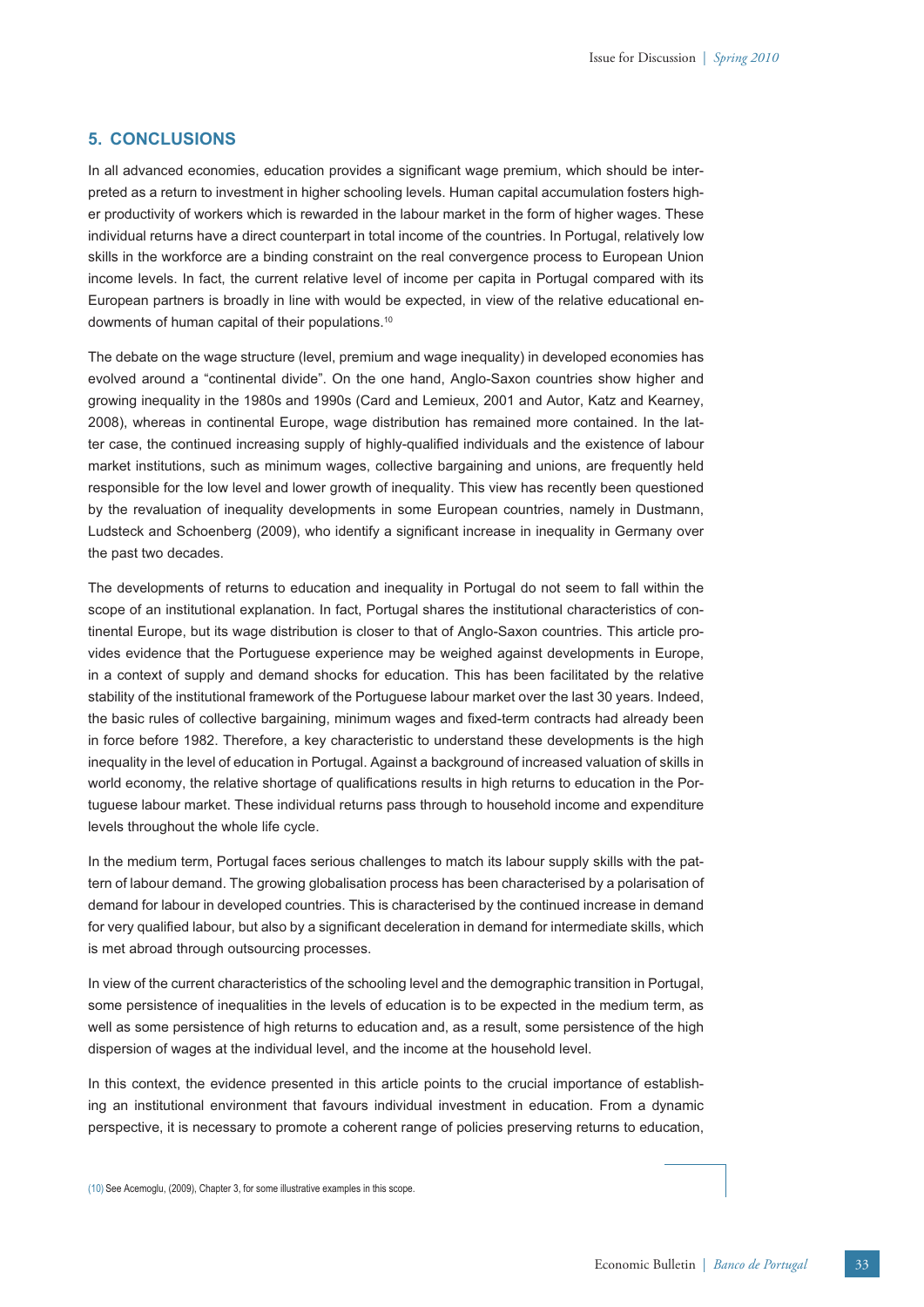# **5. CONCLUSIONS**

In all advanced economies, education provides a significant wage premium, which should be interpreted as a return to investment in higher schooling levels. Human capital accumulation fosters higher productivity of workers which is rewarded in the labour market in the form of higher wages. These individual returns have a direct counterpart in total income of the countries. In Portugal, relatively low skills in the workforce are a binding constraint on the real convergence process to European Union income levels. In fact, the current relative level of income per capita in Portugal compared with its European partners is broadly in line with would be expected, in view of the relative educational endowments of human capital of their populations.10

The debate on the wage structure (level, premium and wage inequality) in developed economies has evolved around a "continental divide". On the one hand, Anglo-Saxon countries show higher and growing inequality in the 1980s and 1990s (Card and Lemieux, 2001 and Autor, Katz and Kearney, 2008), whereas in continental Europe, wage distribution has remained more contained. In the latter case, the continued increasing supply of highly-qualified individuals and the existence of labour market institutions, such as minimum wages, collective bargaining and unions, are frequently held responsible for the low level and lower growth of inequality. This view has recently been questioned by the revaluation of inequality developments in some European countries, namely in Dustmann, Ludsteck and Schoenberg (2009), who identify a significant increase in inequality in Germany over the past two decades.

The developments of returns to education and inequality in Portugal do not seem to fall within the scope of an institutional explanation. In fact, Portugal shares the institutional characteristics of continental Europe, but its wage distribution is closer to that of Anglo-Saxon countries. This article provides evidence that the Portuguese experience may be weighed against developments in Europe, in a context of supply and demand shocks for education. This has been facilitated by the relative stability of the institutional framework of the Portuguese labour market over the last 30 years. Indeed, the basic rules of collective bargaining, minimum wages and fixed-term contracts had already been in force before 1982. Therefore, a key characteristic to understand these developments is the high inequality in the level of education in Portugal. Against a background of increased valuation of skills in world economy, the relative shortage of qualifications results in high returns to education in the Portuguese labour market. These individual returns pass through to household income and expenditure levels throughout the whole life cycle.

In the medium term, Portugal faces serious challenges to match its labour supply skills with the pattern of labour demand. The growing globalisation process has been characterised by a polarisation of demand for labour in developed countries. This is characterised by the continued increase in demand for very qualified labour, but also by a significant deceleration in demand for intermediate skills, which is met abroad through outsourcing processes.

In view of the current characteristics of the schooling level and the demographic transition in Portugal, some persistence of inequalities in the levels of education is to be expected in the medium term, as well as some persistence of high returns to education and, as a result, some persistence of the high dispersion of wages at the individual level, and the income at the household level.

In this context, the evidence presented in this article points to the crucial importance of establishing an institutional environment that favours individual investment in education. From a dynamic perspective, it is necessary to promote a coherent range of policies preserving returns to education,

(10) See Acemoglu, (2009), Chapter 3, for some illustrative examples in this scope.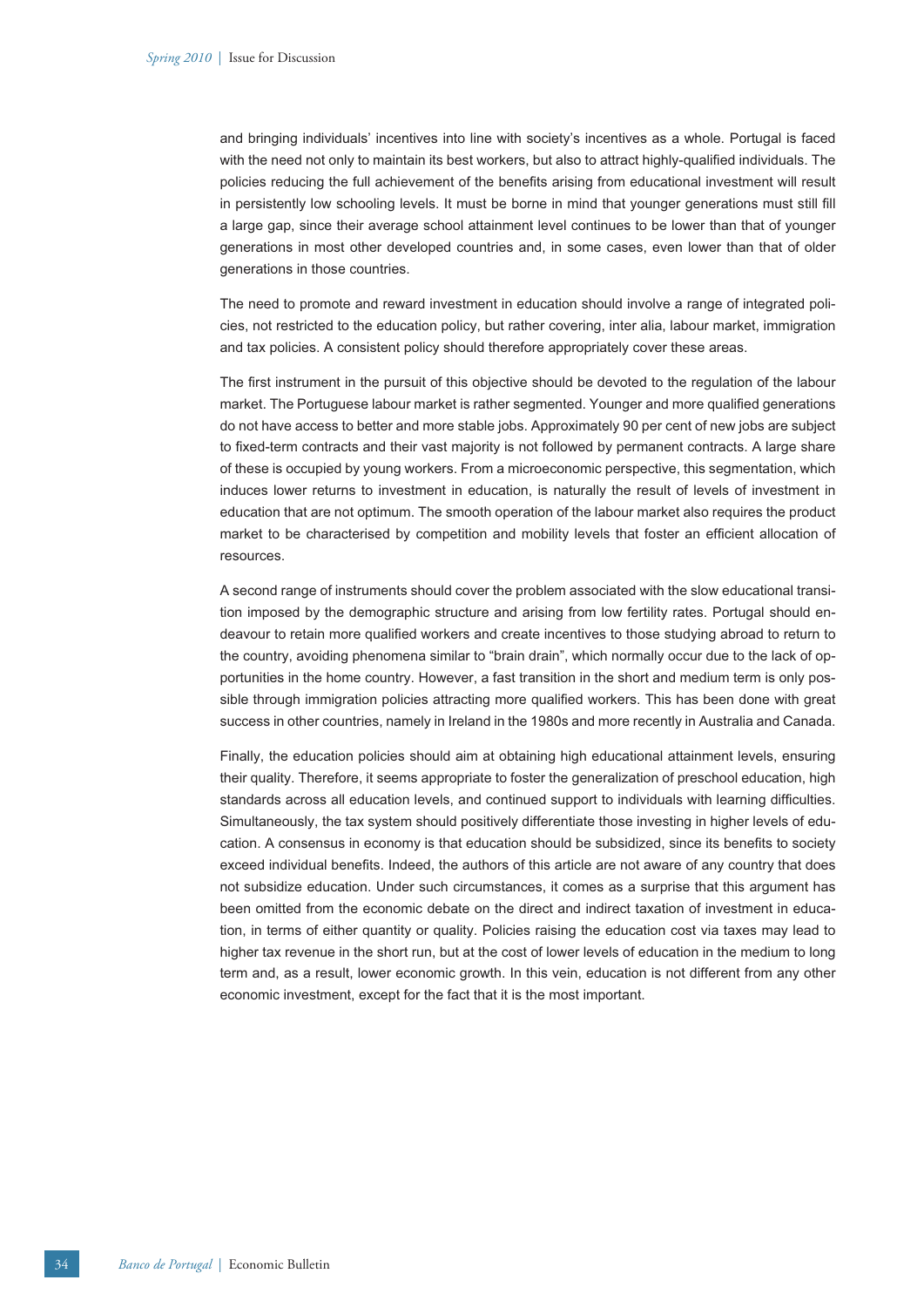and bringing individuals' incentives into line with society's incentives as a whole. Portugal is faced with the need not only to maintain its best workers, but also to attract highly-qualified individuals. The policies reducing the full achievement of the benefits arising from educational investment will result in persistently low schooling levels. It must be borne in mind that younger generations must still fill a large gap, since their average school attainment level continues to be lower than that of younger generations in most other developed countries and, in some cases, even lower than that of older generations in those countries.

The need to promote and reward investment in education should involve a range of integrated policies, not restricted to the education policy, but rather covering, inter alia, labour market, immigration and tax policies. A consistent policy should therefore appropriately cover these areas.

The first instrument in the pursuit of this objective should be devoted to the regulation of the labour market. The Portuguese labour market is rather segmented. Younger and more qualified generations do not have access to better and more stable jobs. Approximately 90 per cent of new jobs are subject to fixed-term contracts and their vast majority is not followed by permanent contracts. A large share of these is occupied by young workers. From a microeconomic perspective, this segmentation, which induces lower returns to investment in education, is naturally the result of levels of investment in education that are not optimum. The smooth operation of the labour market also requires the product market to be characterised by competition and mobility levels that foster an efficient allocation of resources.

A second range of instruments should cover the problem associated with the slow educational transition imposed by the demographic structure and arising from low fertility rates. Portugal should endeavour to retain more qualified workers and create incentives to those studying abroad to return to the country, avoiding phenomena similar to "brain drain", which normally occur due to the lack of opportunities in the home country. However, a fast transition in the short and medium term is only possible through immigration policies attracting more qualified workers. This has been done with great success in other countries, namely in Ireland in the 1980s and more recently in Australia and Canada.

Finally, the education policies should aim at obtaining high educational attainment levels, ensuring their quality. Therefore, it seems appropriate to foster the generalization of preschool education, high standards across all education levels, and continued support to individuals with learning difficulties. Simultaneously, the tax system should positively differentiate those investing in higher levels of education. A consensus in economy is that education should be subsidized, since its benefits to society exceed individual benefits. Indeed, the authors of this article are not aware of any country that does not subsidize education. Under such circumstances, it comes as a surprise that this argument has been omitted from the economic debate on the direct and indirect taxation of investment in education, in terms of either quantity or quality. Policies raising the education cost via taxes may lead to higher tax revenue in the short run, but at the cost of lower levels of education in the medium to long term and, as a result, lower economic growth. In this vein, education is not different from any other economic investment, except for the fact that it is the most important.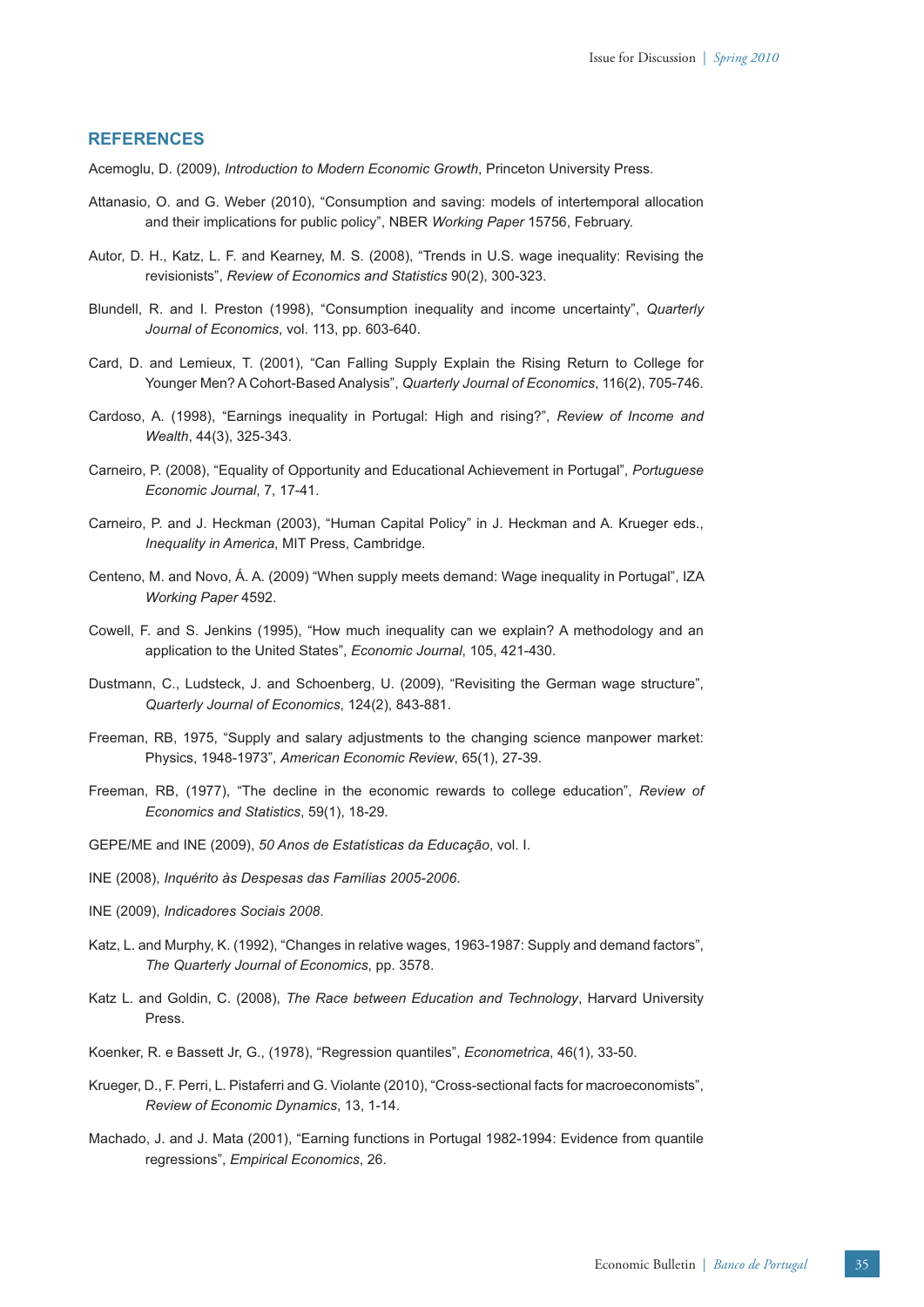### **REFERENCES**

- Acemoglu, D. (2009), *Introduction to Modern Economic Growth*, Princeton University Press.
- Attanasio, O. and G. Weber (2010), "Consumption and saving: models of intertemporal allocation and their implications for public policy", NBER *Working Paper* 15756, February.
- Autor, D. H., Katz, L. F. and Kearney, M. S. (2008), "Trends in U.S. wage inequality: Revising the revisionists", *Review of Economics and Statistics* 90(2), 300-323.
- Blundell, R. and I. Preston (1998), "Consumption inequality and income uncertainty", *Quarterly Journal of Economics*, vol. 113, pp. 603-640.
- Card, D. and Lemieux, T. (2001), "Can Falling Supply Explain the Rising Return to College for Younger Men? A Cohort-Based Analysis", *Quarterly Journal of Economics*, 116(2), 705-746.
- Cardoso, A. (1998), "Earnings inequality in Portugal: High and rising?", *Review of Income and Wealth*, 44(3), 325-343.
- Carneiro, P. (2008), "Equality of Opportunity and Educational Achievement in Portugal", *Portuguese Economic Journal*, 7, 17-41.
- Carneiro, P. and J. Heckman (2003), "Human Capital Policy" in J. Heckman and A. Krueger eds., *Inequality in America*, MIT Press, Cambridge.
- Centeno, M. and Novo, Á. A. (2009) "When supply meets demand: Wage inequality in Portugal", IZA *Working Paper* 4592.
- Cowell, F. and S. Jenkins (1995), "How much inequality can we explain? A methodology and an application to the United States", *Economic Journal*, 105, 421-430.
- Dustmann, C., Ludsteck, J. and Schoenberg, U. (2009), "Revisiting the German wage structure", *Quarterly Journal of Economics*, 124(2), 843-881.
- Freeman, RB, 1975, "Supply and salary adjustments to the changing science manpower market: Physics, 1948-1973", *American Economic Review*, 65(1), 27-39.
- Freeman, RB, (1977), "The decline in the economic rewards to college education", *Review of Economics and Statistics*, 59(1), 18-29.
- GEPE/ME and INE (2009), *50 Anos de Estatísticas da Educação*, vol. I.
- INE (2008), *Inquérito às Despesas das Famílias 2005-2006*.
- INE (2009), *Indicadores Sociais 2008*.
- Katz, L. and Murphy, K. (1992), "Changes in relative wages, 1963-1987: Supply and demand factors", *The Quarterly Journal of Economics*, pp. 3578.
- Katz L. and Goldin, C. (2008), *The Race between Education and Technology*, Harvard University Press.
- Koenker, R. e Bassett Jr, G., (1978), "Regression quantiles", *Econometrica*, 46(1), 33-50.
- Krueger, D., F. Perri, L. Pistaferri and G. Violante (2010), "Cross-sectional facts for macroeconomists", *Review of Economic Dynamics*, 13, 1-14.
- Machado, J. and J. Mata (2001), "Earning functions in Portugal 1982-1994: Evidence from quantile regressions", *Empirical Economics*, 26.